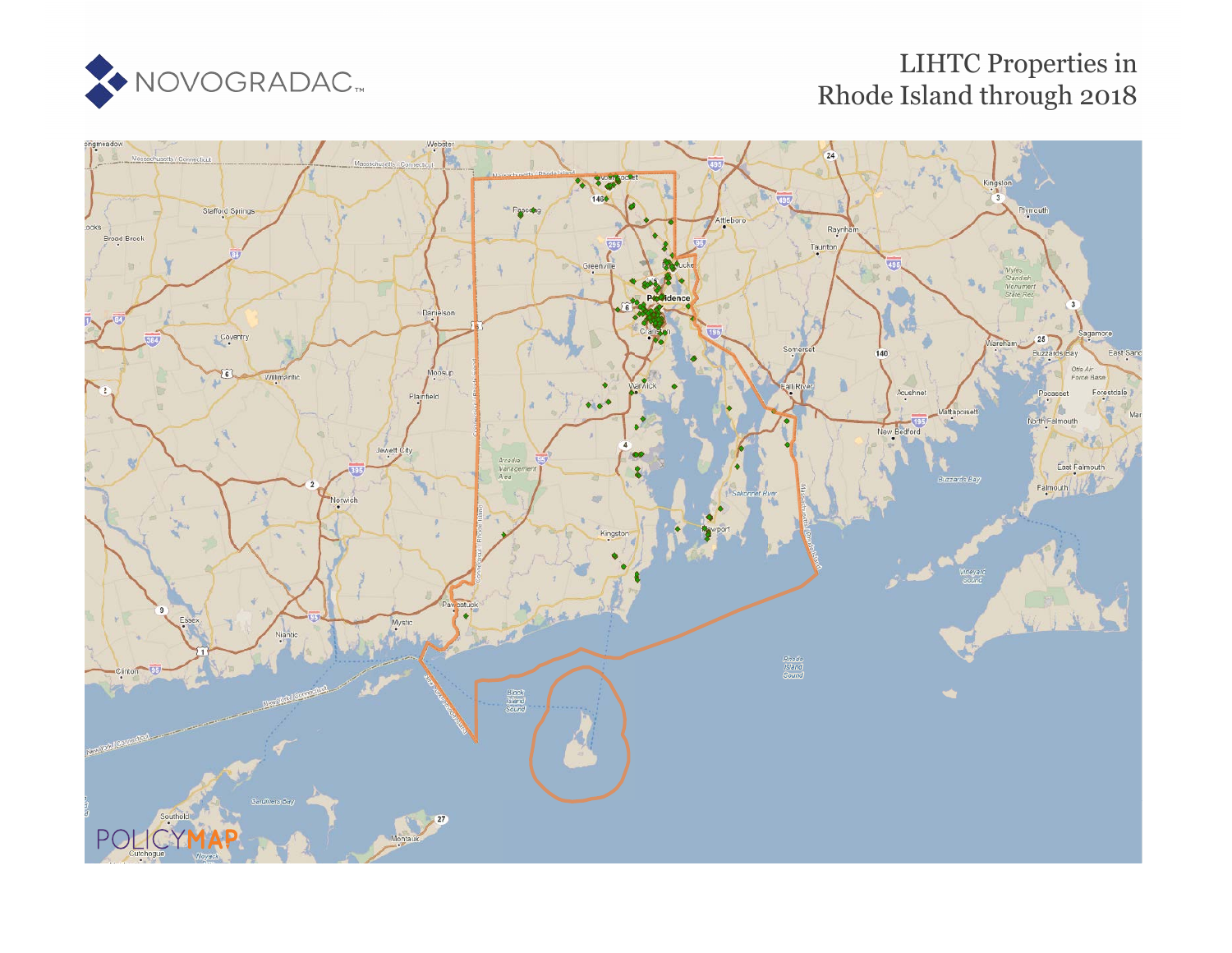

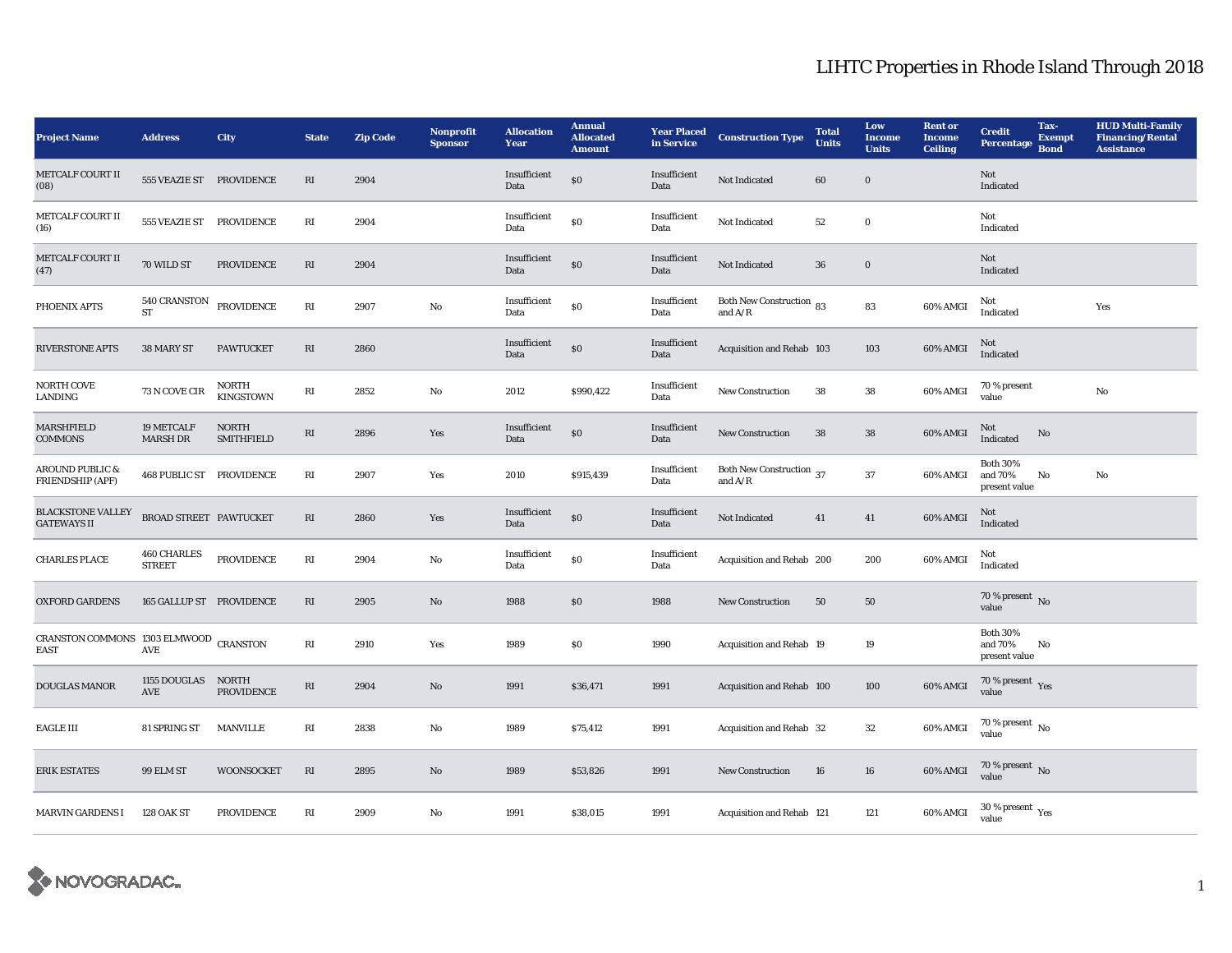| <b>Project Name</b>                                   | <b>Address</b>                      | City                              | <b>State</b>            | <b>Zip Code</b> | <b>Nonprofit</b><br><b>Sponsor</b> | <b>Allocation</b><br>Year | <b>Annual</b><br><b>Allocated</b><br><b>Amount</b> | <b>Year Placed</b><br>in Service | <b>Construction Type</b>              | <b>Total</b><br><b>Units</b> | Low<br><b>Income</b><br><b>Units</b> | <b>Rent or</b><br><b>Income</b><br><b>Ceiling</b> | <b>Credit</b><br>Percentage                 | Tax-<br><b>Exempt</b><br><b>Bond</b> | <b>HUD Multi-Family</b><br><b>Financing/Rental</b><br><b>Assistance</b> |
|-------------------------------------------------------|-------------------------------------|-----------------------------------|-------------------------|-----------------|------------------------------------|---------------------------|----------------------------------------------------|----------------------------------|---------------------------------------|------------------------------|--------------------------------------|---------------------------------------------------|---------------------------------------------|--------------------------------------|-------------------------------------------------------------------------|
| <b>METCALF COURT II</b><br>(08)                       | 555 VEAZIE ST PROVIDENCE            |                                   | RI                      | 2904            |                                    | Insufficient<br>Data      | \$0                                                | Insufficient<br>Data             | Not Indicated                         | 60                           | $\bf{0}$                             |                                                   | Not<br>Indicated                            |                                      |                                                                         |
| METCALF COURT II<br>(16)                              | 555 VEAZIE ST                       | PROVIDENCE                        | RI                      | 2904            |                                    | Insufficient<br>Data      | $\$0$                                              | Insufficient<br>Data             | Not Indicated                         | $52\,$                       | $\boldsymbol{0}$                     |                                                   | Not<br>Indicated                            |                                      |                                                                         |
| <b>METCALF COURT II</b><br>(47)                       | 70 WILD ST                          | PROVIDENCE                        | RI                      | 2904            |                                    | Insufficient<br>Data      | \$0                                                | Insufficient<br>Data             | Not Indicated                         | $36\,$                       | $\bf{0}$                             |                                                   | Not<br>Indicated                            |                                      |                                                                         |
| PHOENIX APTS                                          | $540\,$ CRANSTON<br><b>ST</b>       | <b>PROVIDENCE</b>                 | RI                      | 2907            | No                                 | Insufficient<br>Data      | \$0                                                | Insufficient<br>Data             | Both New Construction 83<br>and $A/R$ |                              | 83                                   | 60% AMGI                                          | Not<br>Indicated                            |                                      | Yes                                                                     |
| <b>RIVERSTONE APTS</b>                                | 38 MARY ST                          | <b>PAWTUCKET</b>                  | $\mathbf{R}\mathbf{I}$  | 2860            |                                    | Insufficient<br>Data      | \$0                                                | Insufficient<br>Data             | Acquisition and Rehab 103             |                              | 103                                  | 60% AMGI                                          | Not<br>Indicated                            |                                      |                                                                         |
| NORTH COVE<br>LANDING                                 | 73 N COVE CIR                       | NORTH<br><b>KINGSTOWN</b>         | RI                      | 2852            | No                                 | 2012                      | \$990,422                                          | Insufficient<br>Data             | New Construction                      | 38                           | ${\bf 38}$                           | 60% AMGI                                          | 70 % present<br>value                       |                                      | $\rm No$                                                                |
| MARSHFIELD<br><b>COMMONS</b>                          | 19 METCALF<br><b>MARSH DR</b>       | <b>NORTH</b><br><b>SMITHFIELD</b> | RI                      | 2896            | Yes                                | Insufficient<br>Data      | \$0                                                | Insufficient<br>Data             | <b>New Construction</b>               | 38                           | $38\,$                               | 60% AMGI                                          | Not<br>Indicated                            | No                                   |                                                                         |
| <b>AROUND PUBLIC &amp;</b><br>FRIENDSHIP (APF)        | <b>468 PUBLIC ST PROVIDENCE</b>     |                                   | RI                      | 2907            | Yes                                | 2010                      | \$915,439                                          | Insufficient<br>Data             | Both New Construction 37<br>and $A/R$ |                              | $37\,$                               | 60% AMGI                                          | <b>Both 30%</b><br>and 70%<br>present value | No                                   | $\rm No$                                                                |
| <b>BLACKSTONE VALLEY</b><br><b>GATEWAYS II</b>        | BROAD STREET PAWTUCKET              |                                   | $\mathbf{R}\mathbf{I}$  | 2860            | Yes                                | Insufficient<br>Data      | \$0                                                | Insufficient<br>Data             | Not Indicated                         | 41                           | 41                                   | 60% AMGI                                          | Not<br>Indicated                            |                                      |                                                                         |
| <b>CHARLES PLACE</b>                                  | <b>460 CHARLES</b><br><b>STREET</b> | PROVIDENCE                        | RI                      | 2904            | No                                 | Insufficient<br>Data      | \$0                                                | Insufficient<br>Data             | Acquisition and Rehab 200             |                              | 200                                  | 60% AMGI                                          | Not<br>Indicated                            |                                      |                                                                         |
| <b>OXFORD GARDENS</b>                                 | 165 GALLUP ST PROVIDENCE            |                                   | RI                      | 2905            | No                                 | 1988                      | \$0                                                | 1988                             | New Construction                      | 50                           | 50                                   |                                                   | 70 % present $\overline{N_0}$<br>value      |                                      |                                                                         |
| CRANSTON COMMONS 1303 ELMWOOD CRANSTON<br><b>EAST</b> | $\operatorname{\mathsf{AVE}}$       |                                   | $\mathbf{R}\mathbf{I}$  | 2910            | Yes                                | 1989                      | \$0                                                | 1990                             | Acquisition and Rehab 19              |                              | 19                                   |                                                   | <b>Both 30%</b><br>and 70%<br>present value | No                                   |                                                                         |
| <b>DOUGLAS MANOR</b>                                  | 1155 DOUGLAS<br>AVE                 | <b>NORTH</b><br>PROVIDENCE        | RI                      | 2904            | No                                 | 1991                      | \$36,471                                           | 1991                             | Acquisition and Rehab 100             |                              | 100                                  | 60% AMGI                                          | $70\,\%$ present $\,\mathrm{Yes}$ value     |                                      |                                                                         |
| <b>EAGLE III</b>                                      | 81 SPRING ST                        | <b>MANVILLE</b>                   | $\mathbb{R}\mathcal{I}$ | 2838            | No                                 | 1989                      | \$75,412                                           | 1991                             | Acquisition and Rehab 32              |                              | $32\,$                               | 60% AMGI                                          | 70 % present $\,$ No $\,$<br>value          |                                      |                                                                         |
| <b>ERIK ESTATES</b>                                   | 99 ELM ST                           | WOONSOCKET                        | RI                      | 2895            | No                                 | 1989                      | \$53,826                                           | 1991                             | <b>New Construction</b>               | 16                           | 16                                   | 60% AMGI                                          | 70 % present $\,$ No $\,$<br>value          |                                      |                                                                         |
| <b>MARVIN GARDENS I</b>                               | <b>128 OAK ST</b>                   | PROVIDENCE                        | RI                      | 2909            | No                                 | 1991                      | \$38,015                                           | 1991                             | Acquisition and Rehab 121             |                              | 121                                  | 60% AMGI                                          | 30 % present $\rm\,Yes$<br>value            |                                      |                                                                         |

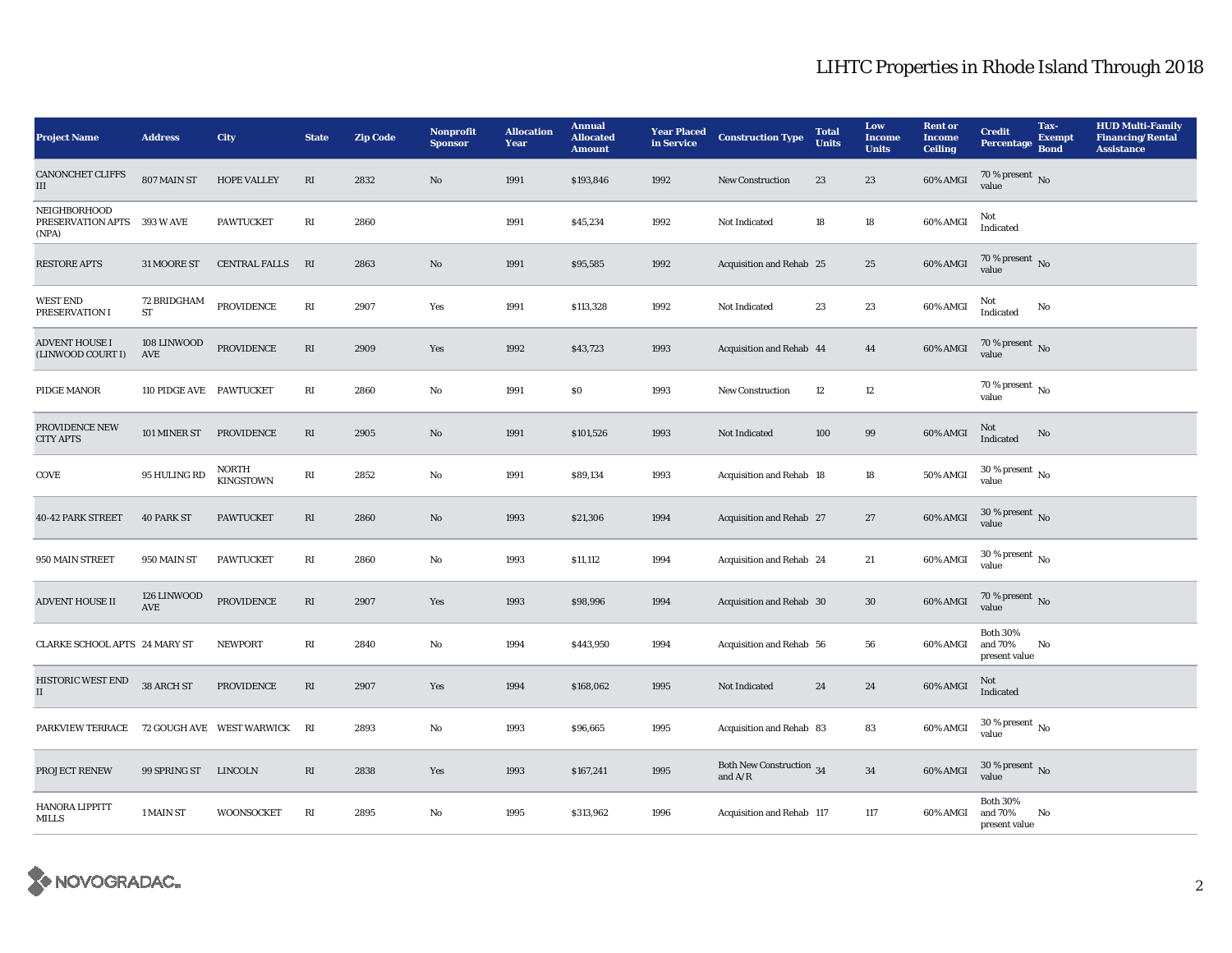| <b>Project Name</b>                                  | <b>Address</b>                  | City                      | <b>State</b>           | <b>Zip Code</b> | Nonprofit<br><b>Sponsor</b> | <b>Allocation</b><br>Year | <b>Annual</b><br><b>Allocated</b><br><b>Amount</b> | <b>Year Placed</b><br>in Service | <b>Construction Type</b>              | <b>Total</b><br><b>Units</b> | Low<br><b>Income</b><br><b>Units</b> | <b>Rent or</b><br><b>Income</b><br><b>Ceiling</b> | <b>Credit</b><br>Percentage                 | Tax-<br><b>Exempt</b><br><b>Bond</b> | <b>HUD Multi-Family</b><br><b>Financing/Rental</b><br><b>Assistance</b> |
|------------------------------------------------------|---------------------------------|---------------------------|------------------------|-----------------|-----------------------------|---------------------------|----------------------------------------------------|----------------------------------|---------------------------------------|------------------------------|--------------------------------------|---------------------------------------------------|---------------------------------------------|--------------------------------------|-------------------------------------------------------------------------|
| <b>CANONCHET CLIFFS</b><br>Ш                         | 807 MAIN ST                     | <b>HOPE VALLEY</b>        | RI                     | 2832            | No                          | 1991                      | \$193,846                                          | 1992                             | New Construction                      | 23                           | $23\,$                               | 60% AMGI                                          | 70 % present $\,$ No $\,$<br>value          |                                      |                                                                         |
| NEIGHBORHOOD<br>PRESERVATION APTS 393 W AVE<br>(NPA) |                                 | <b>PAWTUCKET</b>          | RI                     | 2860            |                             | 1991                      | \$45,234                                           | 1992                             | Not Indicated                         | 18                           | 18                                   | 60% AMGI                                          | Not<br>Indicated                            |                                      |                                                                         |
| <b>RESTORE APTS</b>                                  | 31 MOORE ST                     | <b>CENTRAL FALLS</b>      | RI                     | 2863            | No                          | 1991                      | \$95,585                                           | 1992                             | Acquisition and Rehab 25              |                              | 25                                   | 60% AMGI                                          | 70 % present $\,$ No $\,$<br>value          |                                      |                                                                         |
| <b>WEST END</b><br>PRESERVATION I                    | <b>72 BRIDGHAM</b><br><b>ST</b> | <b>PROVIDENCE</b>         | $\mathbf{R}\mathbf{I}$ | 2907            | Yes                         | 1991                      | \$113,328                                          | 1992                             | Not Indicated                         | 23                           | 23                                   | 60% AMGI                                          | Not<br>Indicated                            | No                                   |                                                                         |
| <b>ADVENT HOUSE I</b><br>(LINWOOD COURT I)           | 108 LINWOOD<br>AVE              | PROVIDENCE                | RI                     | 2909            | Yes                         | 1992                      | \$43,723                                           | 1993                             | Acquisition and Rehab 44              |                              | 44                                   | 60% AMGI                                          | 70 % present $\,$ No $\,$<br>value          |                                      |                                                                         |
| PIDGE MANOR                                          | 110 PIDGE AVE PAWTUCKET         |                           | RI                     | 2860            | No                          | 1991                      | \$0                                                | 1993                             | <b>New Construction</b>               | 12                           | 12                                   |                                                   | 70 % present $\,$ No $\,$<br>value          |                                      |                                                                         |
| PROVIDENCE NEW<br><b>CITY APTS</b>                   | 101 MINER ST                    | PROVIDENCE                | $\mathbf{R}\mathbf{I}$ | 2905            | $\rm No$                    | 1991                      | \$101,526                                          | 1993                             | Not Indicated                         | 100                          | 99                                   | 60% AMGI                                          | Not<br>Indicated                            | $\rm No$                             |                                                                         |
| COVE                                                 | 95 HULING RD                    | NORTH<br><b>KINGSTOWN</b> | $\mathbf{R}\mathbf{I}$ | 2852            | $\mathbf{No}$               | 1991                      | \$89,134                                           | 1993                             | Acquisition and Rehab 18              |                              | 18                                   | 50% AMGI                                          | 30 % present $_{\rm No}$<br>value           |                                      |                                                                         |
| 40-42 PARK STREET                                    | <b>40 PARK ST</b>               | <b>PAWTUCKET</b>          | RI                     | 2860            | No                          | 1993                      | \$21,306                                           | 1994                             | Acquisition and Rehab 27              |                              | 27                                   | 60% AMGI                                          | 30 % present $\,$ No $\,$<br>value          |                                      |                                                                         |
| 950 MAIN STREET                                      | 950 MAIN ST                     | <b>PAWTUCKET</b>          | $\mathbf{R}\mathbf{I}$ | 2860            | $\mathbf{No}$               | 1993                      | \$11,112                                           | 1994                             | Acquisition and Rehab 24              |                              | 21                                   | 60% AMGI                                          | $30$ % present $\,$ No $\,$<br>value        |                                      |                                                                         |
| <b>ADVENT HOUSE II</b>                               | 126 LINWOOD<br>AVE              | PROVIDENCE                | $\mathbf{R}\mathbf{I}$ | 2907            | Yes                         | 1993                      | \$98,996                                           | 1994                             | Acquisition and Rehab 30              |                              | 30                                   | 60% AMGI                                          | 70 % present $\,$ No $\,$<br>value          |                                      |                                                                         |
| CLARKE SCHOOL APTS 24 MARY ST                        |                                 | <b>NEWPORT</b>            | RI                     | 2840            | No                          | 1994                      | \$443,950                                          | 1994                             | Acquisition and Rehab 56              |                              | 56                                   | 60% AMGI                                          | <b>Both 30%</b><br>and 70%<br>present value | No                                   |                                                                         |
| HISTORIC WEST END<br>$\mathbf{I}$                    | 38 ARCH ST                      | <b>PROVIDENCE</b>         | RI                     | 2907            | Yes                         | 1994                      | \$168,062                                          | 1995                             | Not Indicated                         | 24                           | 24                                   | 60% AMGI                                          | Not<br>Indicated                            |                                      |                                                                         |
| PARKVIEW TERRACE                                     |                                 | 72 GOUGH AVE WEST WARWICK | RI                     | 2893            | No                          | 1993                      | \$96,665                                           | 1995                             | Acquisition and Rehab 83              |                              | 83                                   | 60% AMGI                                          | $30$ % present $\,$ No $\,$<br>value        |                                      |                                                                         |
| PROJECT RENEW                                        | 99 SPRING ST                    | <b>LINCOLN</b>            | $\mathbf{R}\mathbf{I}$ | 2838            | Yes                         | 1993                      | \$167,241                                          | 1995                             | Both New Construction 34<br>and $A/R$ |                              | $34\,$                               | 60% AMGI                                          | 30 % present $\,$ No $\,$<br>value          |                                      |                                                                         |
| HANORA LIPPITT<br>MILLS                              | 1 MAIN ST                       | <b>WOONSOCKET</b>         | RI                     | 2895            | $\mathbf{No}$               | 1995                      | \$313,962                                          | 1996                             | Acquisition and Rehab 117             |                              | 117                                  | 60% AMGI                                          | <b>Both 30%</b><br>and 70%<br>present value | No                                   |                                                                         |

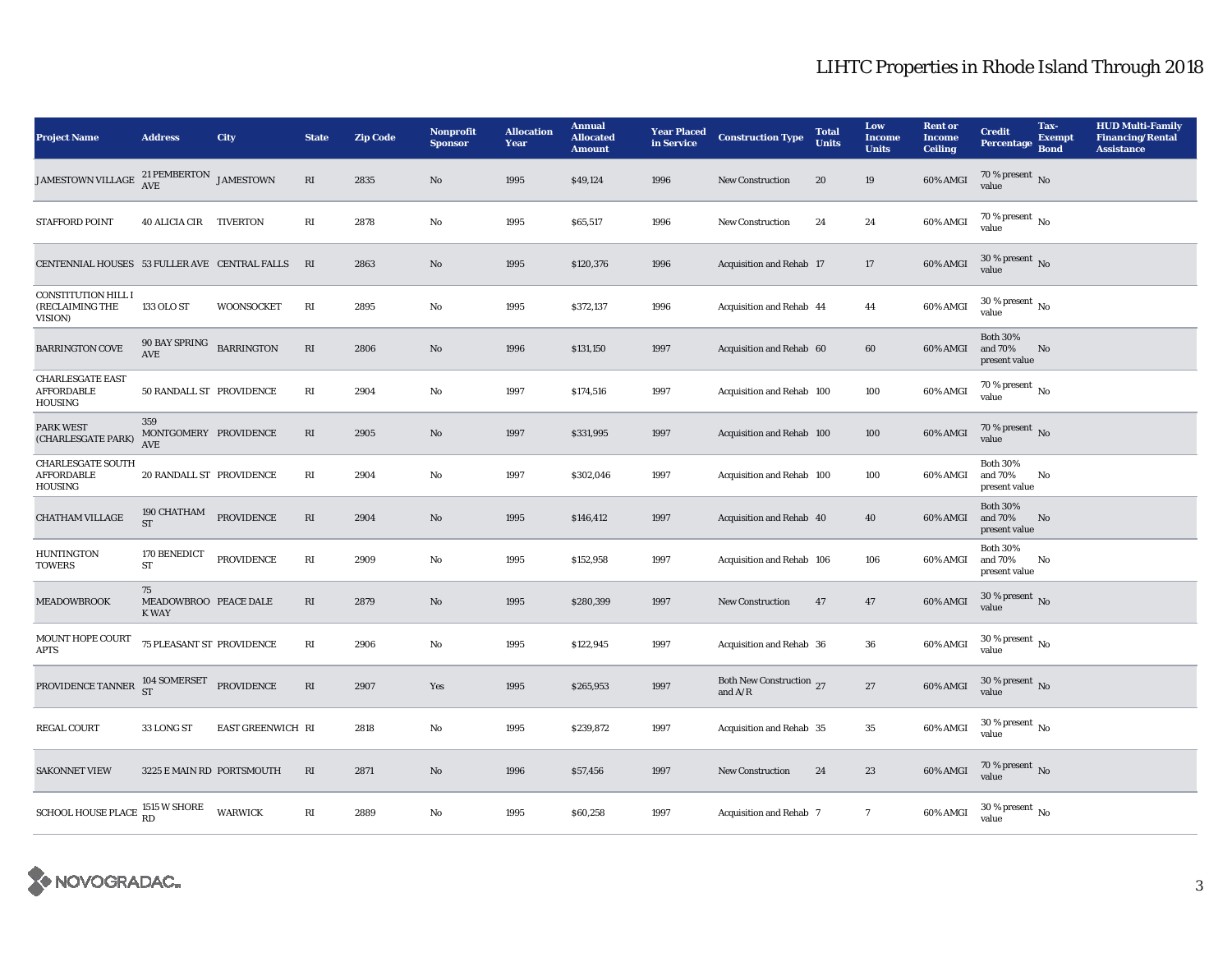| <b>Project Name</b>                                             | <b>Address</b>                              | City              | <b>State</b>           | <b>Zip Code</b> | Nonprofit<br><b>Sponsor</b> | <b>Allocation</b><br>Year | <b>Annual</b><br><b>Allocated</b><br><b>Amount</b> | <b>Year Placed</b><br>in Service | <b>Construction Type</b>                                | <b>Total</b><br><b>Units</b> | Low<br><b>Income</b><br><b>Units</b> | <b>Rent or</b><br><b>Income</b><br><b>Ceiling</b> | <b>Credit</b><br>Percentage                 | Tax-<br><b>Exempt</b><br><b>Bond</b> | <b>HUD Multi-Family</b><br><b>Financing/Rental</b><br><b>Assistance</b> |
|-----------------------------------------------------------------|---------------------------------------------|-------------------|------------------------|-----------------|-----------------------------|---------------------------|----------------------------------------------------|----------------------------------|---------------------------------------------------------|------------------------------|--------------------------------------|---------------------------------------------------|---------------------------------------------|--------------------------------------|-------------------------------------------------------------------------|
| JAMESTOWN VILLAGE                                               | $21$ PEMBERTON $\,$ JAMESTOWN AVE           |                   | RI                     | 2835            | No                          | 1995                      | \$49,124                                           | 1996                             | <b>New Construction</b>                                 | 20                           | 19                                   | 60% AMGI                                          | 70 % present $\,$ No $\,$<br>value          |                                      |                                                                         |
| <b>STAFFORD POINT</b>                                           | 40 ALICIA CIR TIVERTON                      |                   | $\mathbf{R}\mathbf{I}$ | 2878            | $\rm No$                    | 1995                      | \$65,517                                           | 1996                             | <b>New Construction</b>                                 | 24                           | 24                                   | 60% AMGI                                          | $70$ % present $\,$ No $\,$<br>value        |                                      |                                                                         |
| CENTENNIAL HOUSES 53 FULLER AVE CENTRAL FALLS                   |                                             |                   | RI                     | 2863            | No                          | 1995                      | \$120,376                                          | 1996                             | Acquisition and Rehab 17                                |                              | 17                                   | 60% AMGI                                          | 30 % present $\,$ No $\,$<br>value          |                                      |                                                                         |
| <b>CONSTITUTION HILL I</b><br>(RECLAIMING THE<br><b>VISION)</b> | 133 OLO ST                                  | <b>WOONSOCKET</b> | RI                     | 2895            | No                          | 1995                      | \$372,137                                          | 1996                             | Acquisition and Rehab 44                                |                              | 44                                   | 60% AMGI                                          | 30 % present $\,$ No $\,$<br>value          |                                      |                                                                         |
| <b>BARRINGTON COVE</b>                                          | 90 BAY SPRING<br>AVE                        | <b>BARRINGTON</b> | $\mathbf{R}\mathbf{I}$ | 2806            | No                          | 1996                      | \$131,150                                          | 1997                             | Acquisition and Rehab 60                                |                              | 60                                   | 60% AMGI                                          | <b>Both 30%</b><br>and 70%<br>present value | <b>No</b>                            |                                                                         |
| <b>CHARLESGATE EAST</b><br><b>AFFORDABLE</b><br>HOUSING         | 50 RANDALL ST PROVIDENCE                    |                   | RI                     | 2904            | $\rm No$                    | 1997                      | \$174,516                                          | 1997                             | Acquisition and Rehab 100                               |                              | 100                                  | 60% AMGI                                          | 70 % present $\,$ No $\,$<br>value          |                                      |                                                                         |
| <b>PARK WEST</b><br>(CHARLESGATE PARK)                          | 359<br>MONTGOMERY PROVIDENCE<br><b>AVE</b>  |                   | RI                     | 2905            | $\mathbf{N}\mathbf{o}$      | 1997                      | \$331,995                                          | 1997                             | Acquisition and Rehab 100                               |                              | 100                                  | 60% AMGI                                          | 70 % present $\,$ No $\,$<br>value          |                                      |                                                                         |
| <b>CHARLESGATE SOUTH</b><br><b>AFFORDABLE</b><br><b>HOUSING</b> | 20 RANDALL ST PROVIDENCE                    |                   | RI                     | 2904            | No                          | 1997                      | \$302,046                                          | 1997                             | Acquisition and Rehab 100                               |                              | 100                                  | 60% AMGI                                          | <b>Both 30%</b><br>and 70%<br>present value | No                                   |                                                                         |
| <b>CHATHAM VILLAGE</b>                                          | 190 CHATHAM<br><b>ST</b>                    | PROVIDENCE        | RI                     | 2904            | No                          | 1995                      | \$146,412                                          | 1997                             | Acquisition and Rehab 40                                |                              | 40                                   | 60% AMGI                                          | <b>Both 30%</b><br>and 70%<br>present value | No                                   |                                                                         |
| <b>HUNTINGTON</b><br><b>TOWERS</b>                              | 170 BENEDICT<br>${\rm ST}$                  | <b>PROVIDENCE</b> | RI                     | 2909            | No                          | 1995                      | \$152,958                                          | 1997                             | Acquisition and Rehab 106                               |                              | 106                                  | 60% AMGI                                          | <b>Both 30%</b><br>and 70%<br>present value | No                                   |                                                                         |
| <b>MEADOWBROOK</b>                                              | 75<br>MEADOWBROO PEACE DALE<br><b>K WAY</b> |                   | RI                     | 2879            | No                          | 1995                      | \$280,399                                          | 1997                             | <b>New Construction</b>                                 | 47                           | 47                                   | 60% AMGI                                          | 30 % present $\,$ No $\,$<br>value          |                                      |                                                                         |
| MOUNT HOPE COURT<br>APTS                                        | 75 PLEASANT ST PROVIDENCE                   |                   | RI                     | 2906            | $\rm No$                    | 1995                      | \$122,945                                          | 1997                             | Acquisition and Rehab 36                                |                              | 36                                   | 60% AMGI                                          | 30 % present $\,$ No $\,$<br>value          |                                      |                                                                         |
| PROVIDENCE TANNER $^{104}_{ST}$ SOMERSET PROVIDENCE             |                                             |                   | RI                     | 2907            | Yes                         | 1995                      | \$265,953                                          | 1997                             | Both New Construction 27<br>and $\mathrm{A}/\mathrm{R}$ |                              | 27                                   | 60% AMGI                                          | 30 % present $\,$ No $\,$<br>value          |                                      |                                                                         |
| <b>REGAL COURT</b>                                              | 33 LONG ST                                  | EAST GREENWICH RI |                        | 2818            | $\rm No$                    | 1995                      | \$239,872                                          | 1997                             | Acquisition and Rehab 35                                |                              | 35                                   | 60% AMGI                                          | 30 % present $\,$ No $\,$<br>value          |                                      |                                                                         |
| <b>SAKONNET VIEW</b>                                            | 3225 E MAIN RD PORTSMOUTH                   |                   | RI                     | 2871            | No                          | 1996                      | \$57,456                                           | 1997                             | <b>New Construction</b>                                 | 24                           | 23                                   | 60% AMGI                                          | 70 % present $\,$ No $\,$<br>value          |                                      |                                                                         |
| SCHOOL HOUSE PLACE 1515 W SHORE                                 |                                             | <b>WARWICK</b>    | RI                     | 2889            | No                          | 1995                      | \$60,258                                           | 1997                             | Acquisition and Rehab 7                                 |                              | $\overline{7}$                       | 60% AMGI                                          | $30\%$ present $\overline{N_0}$<br>value    |                                      |                                                                         |

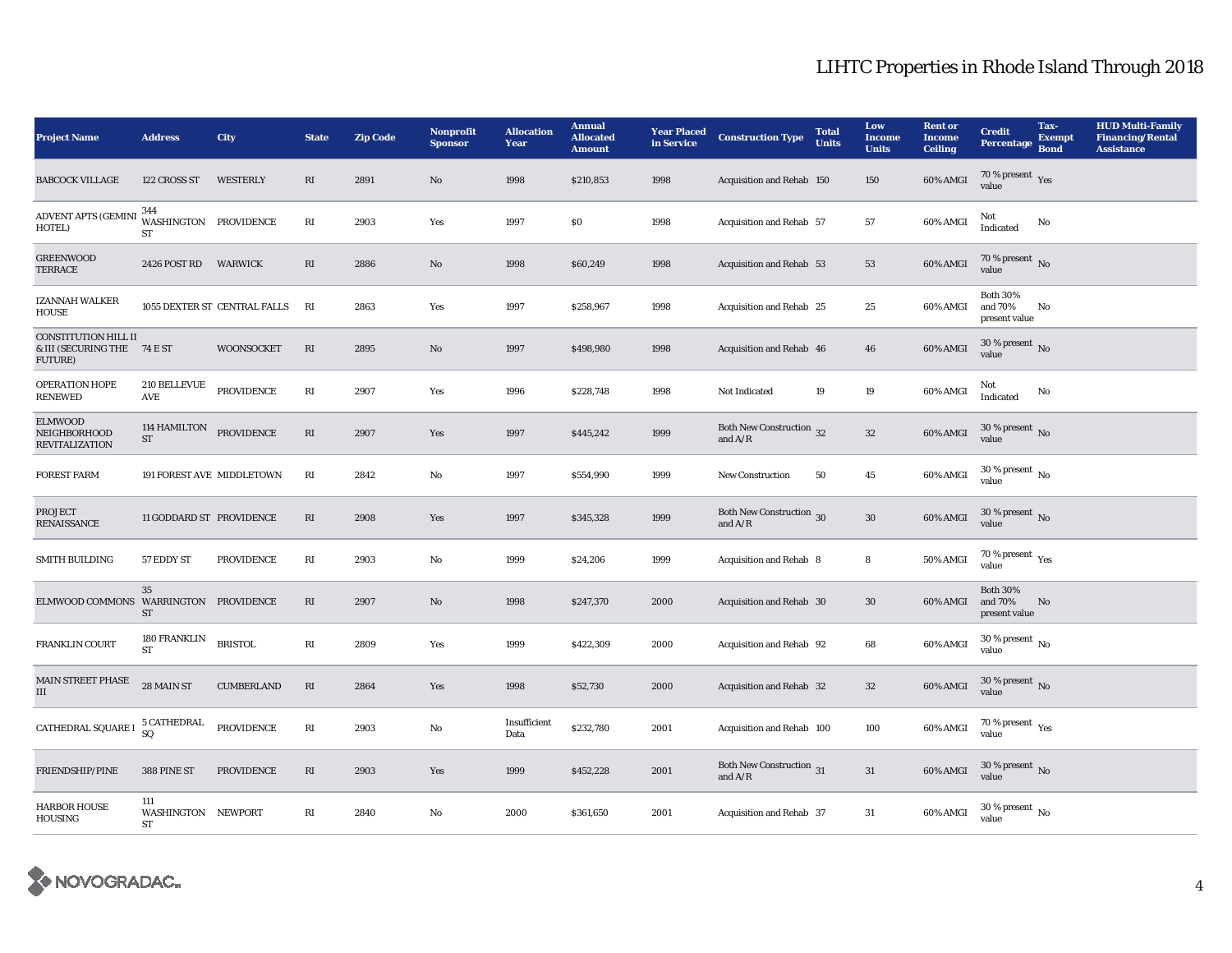| <b>Project Name</b>                                                   | <b>Address</b>                            | City                         | <b>State</b>           | <b>Zip Code</b> | Nonprofit<br><b>Sponsor</b> | <b>Allocation</b><br>Year | <b>Annual</b><br><b>Allocated</b><br><b>Amount</b> | <b>Year Placed</b><br>in Service | <b>Construction Type</b>                                                          | <b>Total</b><br><b>Units</b> | Low<br><b>Income</b><br><b>Units</b> | <b>Rent or</b><br><b>Income</b><br><b>Ceiling</b> | <b>Credit</b><br><b>Percentage</b>          | Tax-<br><b>Exempt</b><br><b>Bond</b> | <b>HUD Multi-Family</b><br><b>Financing/Rental</b><br><b>Assistance</b> |
|-----------------------------------------------------------------------|-------------------------------------------|------------------------------|------------------------|-----------------|-----------------------------|---------------------------|----------------------------------------------------|----------------------------------|-----------------------------------------------------------------------------------|------------------------------|--------------------------------------|---------------------------------------------------|---------------------------------------------|--------------------------------------|-------------------------------------------------------------------------|
| <b>BABCOCK VILLAGE</b>                                                | 122 CROSS ST                              | <b>WESTERLY</b>              | RI                     | 2891            | No                          | 1998                      | \$210,853                                          | 1998                             | Acquisition and Rehab 150                                                         |                              | 150                                  | 60% AMGI                                          | 70 % present $\,$ $\rm Yes$<br>value        |                                      |                                                                         |
| <b>ADVENT APTS (GEMINI</b><br>HOTEL)                                  | 344<br>WASHINGTON PROVIDENCE<br><b>ST</b> |                              | $\mathbf{R}\mathbf{I}$ | 2903            | Yes                         | 1997                      | \$0                                                | 1998                             | Acquisition and Rehab 57                                                          |                              | 57                                   | 60% AMGI                                          | Not<br>Indicated                            | No                                   |                                                                         |
| <b>GREENWOOD</b><br><b>TERRACE</b>                                    | 2426 POST RD                              | <b>WARWICK</b>               | RI                     | 2886            | No                          | 1998                      | \$60,249                                           | 1998                             | Acquisition and Rehab 53                                                          |                              | 53                                   | 60% AMGI                                          | 70 % present $\,$ No $\,$<br>value          |                                      |                                                                         |
| <b>IZANNAH WALKER</b><br><b>HOUSE</b>                                 |                                           | 1055 DEXTER ST CENTRAL FALLS | RI                     | 2863            | Yes                         | 1997                      | \$258,967                                          | 1998                             | Acquisition and Rehab 25                                                          |                              | 25                                   | 60% AMGI                                          | <b>Both 30%</b><br>and 70%<br>present value | No                                   |                                                                         |
| <b>CONSTITUTION HILL II</b><br>& III (SECURING THE 74 E ST<br>FUTURE) |                                           | <b>WOONSOCKET</b>            | $\mathbf{R}\mathbf{I}$ | 2895            | No                          | 1997                      | \$498,980                                          | 1998                             | Acquisition and Rehab 46                                                          |                              | 46                                   | 60% AMGI                                          | $30$ % present $\,$ No $\,$<br>value        |                                      |                                                                         |
| OPERATION HOPE<br><b>RENEWED</b>                                      | 210 BELLEVUE<br>AVE                       | <b>PROVIDENCE</b>            | RI                     | 2907            | Yes                         | 1996                      | \$228,748                                          | 1998                             | Not Indicated                                                                     | 19                           | 19                                   | 60% AMGI                                          | Not<br>Indicated                            | No                                   |                                                                         |
| <b>ELMWOOD</b><br>NEIGHBORHOOD<br><b>REVITALIZATION</b>               | 114 HAMILTON<br><b>ST</b>                 | <b>PROVIDENCE</b>            | $\mathbf{R}\mathbf{I}$ | 2907            | Yes                         | 1997                      | \$445,242                                          | 1999                             | Both New Construction 32<br>and $A/R$                                             |                              | $32\,$                               | 60% AMGI                                          | 30 % present $\,$ No $\,$<br>value          |                                      |                                                                         |
| <b>FOREST FARM</b>                                                    | 191 FOREST AVE MIDDLETOWN                 |                              | RI                     | 2842            | $\mathbf{No}$               | 1997                      | \$554,990                                          | 1999                             | <b>New Construction</b>                                                           | 50                           | ${\bf 45}$                           | 60% AMGI                                          | 30 % present $\,$ No $\,$<br>value          |                                      |                                                                         |
| <b>PROJECT</b><br><b>RENAISSANCE</b>                                  | 11 GODDARD ST PROVIDENCE                  |                              | RI                     | 2908            | Yes                         | 1997                      | \$345,328                                          | 1999                             | Both New Construction 30<br>and $\ensuremath{\mathrm{A}}/\ensuremath{\mathrm{R}}$ |                              | $30\,$                               | 60% AMGI                                          | 30 % present $\,$ No $\,$<br>value          |                                      |                                                                         |
| <b>SMITH BUILDING</b>                                                 | 57 EDDY ST                                | <b>PROVIDENCE</b>            | RI                     | 2903            | No                          | 1999                      | \$24,206                                           | 1999                             | Acquisition and Rehab 8                                                           |                              | 8                                    | 50% AMGI                                          | 70 % present $\gamma_{\rm{es}}$<br>value    |                                      |                                                                         |
| ELMWOOD COMMONS WARRINGTON PROVIDENCE                                 | 35<br><b>ST</b>                           |                              | $\mathbf{R}\mathbf{I}$ | 2907            | $\mathbf{No}$               | 1998                      | \$247,370                                          | 2000                             | Acquisition and Rehab 30                                                          |                              | 30                                   | 60% AMGI                                          | <b>Both 30%</b><br>and 70%<br>present value | No                                   |                                                                         |
| FRANKLIN COURT                                                        | 180 FRANKLIN<br>ST                        | <b>BRISTOL</b>               | RI                     | 2809            | Yes                         | 1999                      | \$422,309                                          | 2000                             | Acquisition and Rehab 92                                                          |                              | 68                                   | 60% AMGI                                          | 30 % present $\,$ No $\,$<br>value          |                                      |                                                                         |
| MAIN STREET PHASE<br>III                                              | 28 MAIN ST                                | <b>CUMBERLAND</b>            | RI                     | 2864            | Yes                         | 1998                      | \$52,730                                           | 2000                             | Acquisition and Rehab 32                                                          |                              | $32\,$                               | 60% AMGI                                          | 30 % present $\,$ No $\,$<br>value          |                                      |                                                                         |
| CATHEDRAL SQUARE I                                                    | <b>5 CATHEDRAL</b><br>SQ                  | <b>PROVIDENCE</b>            | $\mathbf{R}\mathbf{I}$ | 2903            | $\mathbf{No}$               | Insufficient<br>Data      | \$232,780                                          | 2001                             | Acquisition and Rehab 100                                                         |                              | 100                                  | 60% AMGI                                          | 70 % present $\rm\thinspace_{Yes}$<br>value |                                      |                                                                         |
| FRIENDSHIP/PINE                                                       | 388 PINE ST                               | <b>PROVIDENCE</b>            | RI                     | 2903            | Yes                         | 1999                      | \$452,228                                          | 2001                             | Both New Construction 31<br>and $A/R$                                             |                              | $31\,$                               | 60% AMGI                                          | 30 % present $\,$ No $\,$<br>value          |                                      |                                                                         |
| <b>HARBOR HOUSE</b><br>HOUSING                                        | 111<br>WASHINGTON NEWPORT<br><b>ST</b>    |                              | RI                     | 2840            | No                          | 2000                      | \$361,650                                          | 2001                             | <b>Acquisition and Rehab 37</b>                                                   |                              | 31                                   | 60% AMGI                                          | 30 % present $\,$ No $\,$<br>value          |                                      |                                                                         |

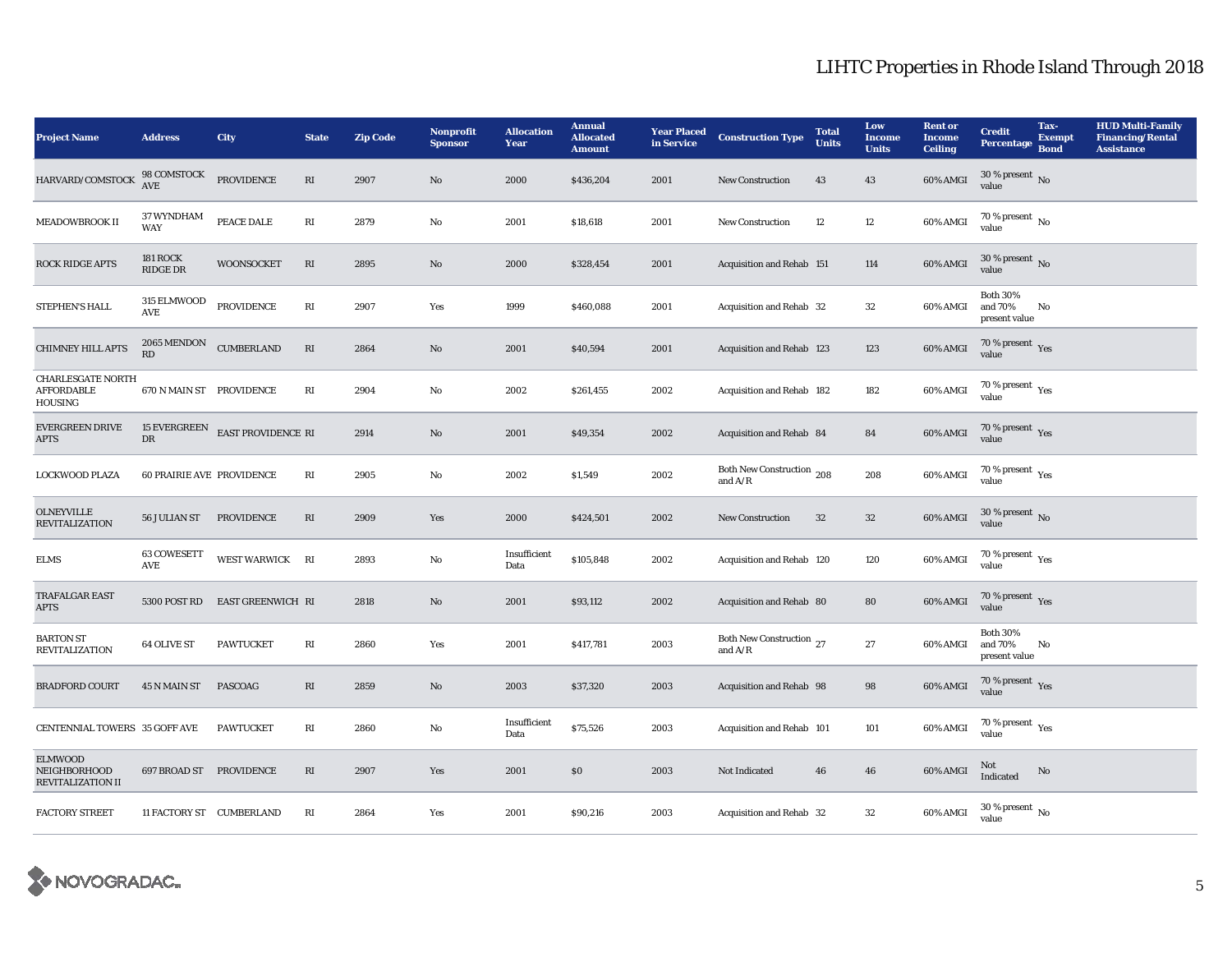| <b>Project Name</b>                                             | <b>Address</b>                   | City               | <b>State</b>           | <b>Zip Code</b> | Nonprofit<br><b>Sponsor</b> | <b>Allocation</b><br>Year | <b>Annual</b><br><b>Allocated</b><br>Amount | <b>Year Placed</b><br>in Service | <b>Construction Type</b>               | <b>Total</b><br><b>Units</b> | Low<br><b>Income</b><br><b>Units</b> | <b>Rent or</b><br><b>Income</b><br><b>Ceiling</b> | <b>Credit</b><br>Percentage                   | Tax-<br><b>Exempt</b><br><b>Bond</b> | <b>HUD Multi-Family</b><br><b>Financing/Rental</b><br><b>Assistance</b> |
|-----------------------------------------------------------------|----------------------------------|--------------------|------------------------|-----------------|-----------------------------|---------------------------|---------------------------------------------|----------------------------------|----------------------------------------|------------------------------|--------------------------------------|---------------------------------------------------|-----------------------------------------------|--------------------------------------|-------------------------------------------------------------------------|
| HARVARD/COMSTOCK                                                | 98 COMSTOCK<br>AVE               | PROVIDENCE         | RI                     | 2907            | No                          | 2000                      | \$436,204                                   | 2001                             | <b>New Construction</b>                | 43                           | 43                                   | 60% AMGI                                          | $30$ % present $\,$ No $\,$<br>value          |                                      |                                                                         |
| <b>MEADOWBROOK II</b>                                           | 37 WYNDHAM<br>WAY                | PEACE DALE         | $\mathbf{R}\mathbf{I}$ | 2879            | No                          | 2001                      | \$18,618                                    | 2001                             | <b>New Construction</b>                | $12\,$                       | 12                                   | 60% AMGI                                          | 70 % present $\,$ No $\,$<br>value            |                                      |                                                                         |
| <b>ROCK RIDGE APTS</b>                                          | <b>181 ROCK</b><br>RIDGE DR      | <b>WOONSOCKET</b>  | RI                     | 2895            | No                          | 2000                      | \$328,454                                   | 2001                             | Acquisition and Rehab 151              |                              | 114                                  | 60% AMGI                                          | 30 % present $\,$ No $\,$<br>value            |                                      |                                                                         |
| STEPHEN'S HALL                                                  | 315 ELMWOOD<br><b>AVE</b>        | <b>PROVIDENCE</b>  | $\mathbf{R}\mathbf{I}$ | 2907            | Yes                         | 1999                      | \$460,088                                   | 2001                             | Acquisition and Rehab 32               |                              | 32                                   | 60% AMGI                                          | <b>Both 30%</b><br>and 70%<br>present value   | No                                   |                                                                         |
| <b>CHIMNEY HILL APTS</b>                                        | 2065 MENDON<br>RD                | <b>CUMBERLAND</b>  | RI                     | 2864            | No                          | 2001                      | \$40,594                                    | 2001                             | <b>Acquisition and Rehab 123</b>       |                              | 123                                  | 60% AMGI                                          | 70 % present $\,\rm \gamma_{\rm eS}$<br>value |                                      |                                                                         |
| <b>CHARLESGATE NORTH</b><br><b>AFFORDABLE</b><br><b>HOUSING</b> | 670 N MAIN ST PROVIDENCE         |                    | RI                     | 2904            | No                          | 2002                      | \$261,455                                   | 2002                             | Acquisition and Rehab 182              |                              | 182                                  | 60% AMGI                                          | $70$ % present $\,$ $\rm Yes$<br>value        |                                      |                                                                         |
| <b>EVERGREEN DRIVE</b><br>APTS                                  | 15 EVERGREEN<br>DR               | EAST PROVIDENCE RI |                        | 2914            | $\mathbf{No}$               | 2001                      | \$49,354                                    | 2002                             | Acquisition and Rehab 84               |                              | 84                                   | 60% AMGI                                          | $70\,\%$ present $\,$ Yes value               |                                      |                                                                         |
| <b>LOCKWOOD PLAZA</b>                                           | <b>60 PRAIRIE AVE PROVIDENCE</b> |                    | RI                     | 2905            | No                          | 2002                      | \$1,549                                     | 2002                             | Both New Construction 208<br>and $A/R$ |                              | 208                                  | 60% AMGI                                          | $70\,\%$ present $\,$ $\rm Yes$<br>value      |                                      |                                                                         |
| <b>OLNEYVILLE</b><br><b>REVITALIZATION</b>                      | 56 JULIAN ST                     | <b>PROVIDENCE</b>  | RI                     | 2909            | Yes                         | 2000                      | \$424,501                                   | 2002                             | New Construction                       | 32                           | $32\,$                               | 60% AMGI                                          | 30 % present $\,$ No $\,$<br>value            |                                      |                                                                         |
| <b>ELMS</b>                                                     | <b>63 COWESETT</b><br>AVE        | WEST WARWICK RI    |                        | 2893            | $\mathbf{No}$               | Insufficient<br>Data      | \$105,848                                   | 2002                             | Acquisition and Rehab 120              |                              | 120                                  | 60% AMGI                                          | $70$ % present $\,$ $\rm Yes$<br>value        |                                      |                                                                         |
| <b>TRAFALGAR EAST</b><br><b>APTS</b>                            | 5300 POST RD                     | EAST GREENWICH RI  |                        | 2818            | $\mathbf{No}$               | 2001                      | \$93,112                                    | 2002                             | Acquisition and Rehab 80               |                              | 80                                   | 60% AMGI                                          | 70 % present $\gamma_{\rm e s}$<br>value      |                                      |                                                                         |
| <b>BARTON ST</b><br><b>REVITALIZATION</b>                       | <b>64 OLIVE ST</b>               | <b>PAWTUCKET</b>   | RI                     | 2860            | Yes                         | 2001                      | \$417,781                                   | 2003                             | Both New Construction 27<br>and $A/R$  |                              | $27\,$                               | 60% AMGI                                          | <b>Both 30%</b><br>and 70%<br>present value   | No                                   |                                                                         |
| <b>BRADFORD COURT</b>                                           | 45 N MAIN ST                     | <b>PASCOAG</b>     | RI                     | 2859            | $\mathbf{No}$               | 2003                      | \$37,320                                    | 2003                             | Acquisition and Rehab 98               |                              | 98                                   | 60% AMGI                                          | $70\,\%$ present $\,$ Yes value               |                                      |                                                                         |
| CENTENNIAL TOWERS 35 GOFF AVE                                   |                                  | <b>PAWTUCKET</b>   | RI                     | 2860            | No                          | Insufficient<br>Data      | \$75,526                                    | 2003                             | Acquisition and Rehab 101              |                              | 101                                  | 60% AMGI                                          | 70 % present $\rm\thinspace_{Yes}$<br>value   |                                      |                                                                         |
| <b>ELMWOOD</b><br>NEIGHBORHOOD<br><b>REVITALIZATION II</b>      | 697 BROAD ST                     | PROVIDENCE         | RI                     | 2907            | Yes                         | 2001                      | $\$0$                                       | 2003                             | Not Indicated                          | 46                           | 46                                   | 60% AMGI                                          | Not<br>Indicated                              | No                                   |                                                                         |
| <b>FACTORY STREET</b>                                           | 11 FACTORY ST CUMBERLAND         |                    | RI                     | 2864            | Yes                         | 2001                      | \$90,216                                    | 2003                             | Acquisition and Rehab 32               |                              | $32\,$                               | 60% AMGI                                          | $30\,\%$ present $\,$ No $\,$<br>value        |                                      |                                                                         |

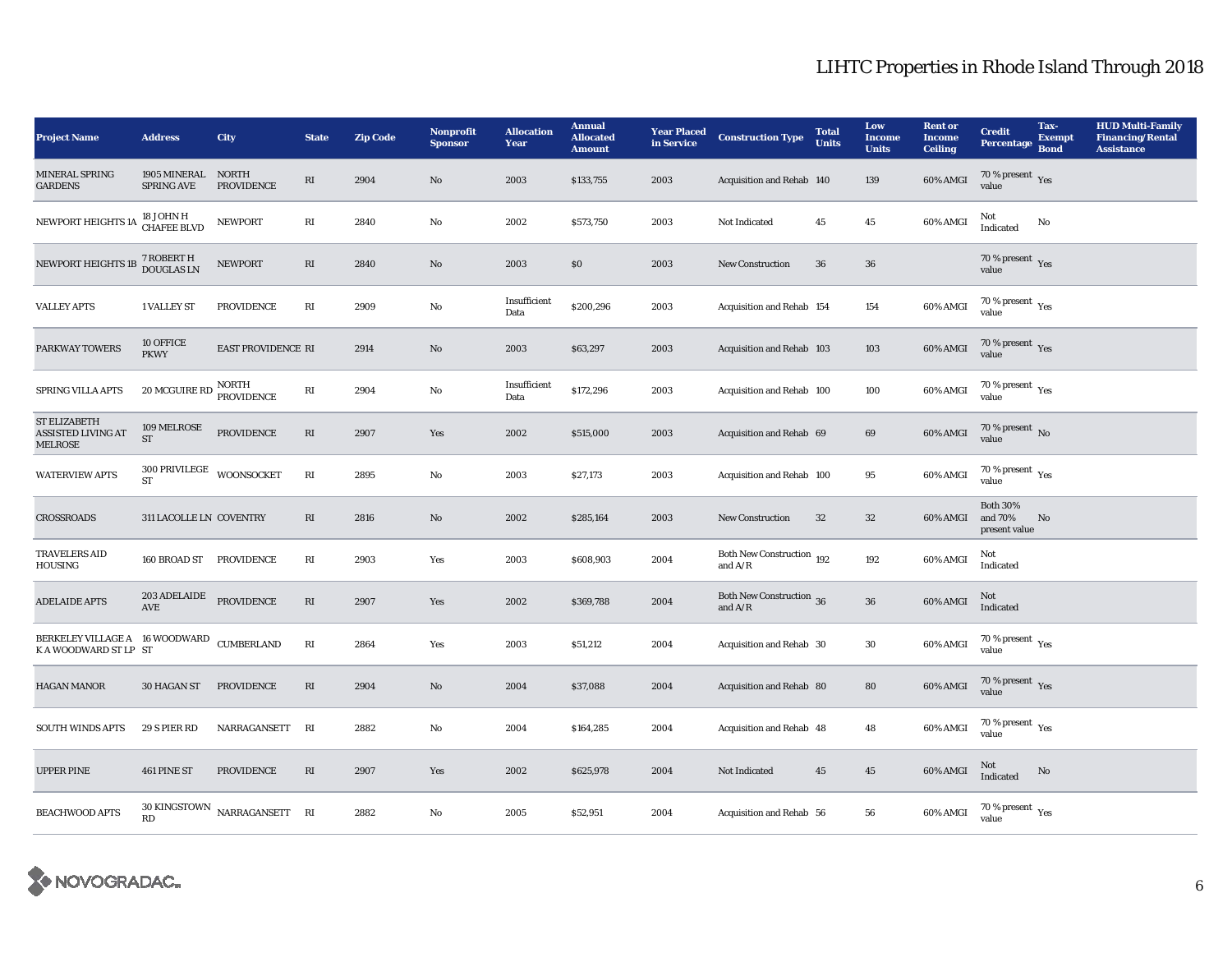| <b>Project Name</b>                                                | <b>Address</b>                                           | City                                    | <b>State</b>           | <b>Zip Code</b> | Nonprofit<br><b>Sponsor</b> | <b>Allocation</b><br>Year | <b>Annual</b><br><b>Allocated</b><br><b>Amount</b> | <b>Year Placed</b><br>in Service | <b>Construction Type</b>               | <b>Total</b><br><b>Units</b> | Low<br><b>Income</b><br><b>Units</b> | <b>Rent or</b><br><b>Income</b><br><b>Ceiling</b> | <b>Credit</b><br>Percentage                 | Tax-<br><b>Exempt</b><br><b>Bond</b> | <b>HUD Multi-Family</b><br><b>Financing/Rental</b><br><b>Assistance</b> |
|--------------------------------------------------------------------|----------------------------------------------------------|-----------------------------------------|------------------------|-----------------|-----------------------------|---------------------------|----------------------------------------------------|----------------------------------|----------------------------------------|------------------------------|--------------------------------------|---------------------------------------------------|---------------------------------------------|--------------------------------------|-------------------------------------------------------------------------|
| MINERAL SPRING<br><b>GARDENS</b>                                   | 1905 MINERAL NORTH<br><b>SPRING AVE</b>                  | <b>PROVIDENCE</b>                       | RI                     | 2904            | $\mathbf{N}\mathbf{o}$      | 2003                      | \$133,755                                          | 2003                             | Acquisition and Rehab 140              |                              | 139                                  | 60% AMGI                                          | 70 % present $\,$ $\rm Yes$<br>value        |                                      |                                                                         |
| NEWPORT HEIGHTS 1A <sup>18</sup> JOHN H                            |                                                          | <b>NEWPORT</b>                          | RI                     | 2840            | No                          | 2002                      | \$573,750                                          | 2003                             | Not Indicated                          | 45                           | $45\,$                               | 60% AMGI                                          | Not<br>Indicated                            | No                                   |                                                                         |
| NEWPORT HEIGHTS 1B                                                 | 7 ROBERT H<br>DOUGLAS LN                                 | <b>NEWPORT</b>                          | $\mathbf{R}\mathbf{I}$ | 2840            | No                          | 2003                      | \$0                                                | 2003                             | <b>New Construction</b>                | 36                           | ${\bf 36}$                           |                                                   | 70 % present Yes<br>value                   |                                      |                                                                         |
| <b>VALLEY APTS</b>                                                 | 1 VALLEY ST                                              | <b>PROVIDENCE</b>                       | RI                     | 2909            | No                          | Insufficient<br>Data      | \$200,296                                          | 2003                             | Acquisition and Rehab 154              |                              | 154                                  | 60% AMGI                                          | 70 % present $\rm\thinspace_{Yes}$<br>value |                                      |                                                                         |
| PARKWAY TOWERS                                                     | 10 OFFICE<br><b>PKWY</b>                                 | EAST PROVIDENCE RI                      |                        | 2914            | $\mathbf{No}$               | 2003                      | \$63,297                                           | 2003                             | Acquisition and Rehab 103              |                              | 103                                  | 60% AMGI                                          | $70\,\%$ present $\,$ Yes value             |                                      |                                                                         |
| SPRING VILLA APTS                                                  | $20$ MCGUIRE RD $\frac{\text{NORTH}}{\text{PROVIDENCE}}$ |                                         | $\mathbf{R}\mathbf{I}$ | 2904            | $\mathbf{No}$               | Insufficient<br>Data      | \$172,296                                          | 2003                             | Acquisition and Rehab 100              |                              | 100                                  | 60% AMGI                                          | $70\,\%$ present $\,$ Yes value             |                                      |                                                                         |
| ST ELIZABETH<br><b>ASSISTED LIVING AT</b><br><b>MELROSE</b>        | 109 MELROSE<br><b>ST</b>                                 | PROVIDENCE                              | RI                     | 2907            | Yes                         | 2002                      | \$515,000                                          | 2003                             | Acquisition and Rehab 69               |                              | 69                                   | 60% AMGI                                          | 70 % present $\,$ No $\,$<br>value          |                                      |                                                                         |
| <b>WATERVIEW APTS</b>                                              | $300$ PRIVILEGE $\_$ WOONSOCKET<br><b>ST</b>             |                                         | $\mathbf{R}\mathbf{I}$ | 2895            | $\rm No$                    | 2003                      | \$27,173                                           | 2003                             | Acquisition and Rehab 100              |                              | 95                                   | 60% AMGI                                          | 70 % present Yes<br>value                   |                                      |                                                                         |
| <b>CROSSROADS</b>                                                  | 311 LACOLLE LN COVENTRY                                  |                                         | RI                     | 2816            | $\mathbf{No}$               | 2002                      | \$285,164                                          | 2003                             | <b>New Construction</b>                | 32                           | $32\,$                               | 60% AMGI                                          | <b>Both 30%</b><br>and 70%<br>present value | No                                   |                                                                         |
| <b>TRAVELERS AID</b><br>HOUSING                                    | 160 BROAD ST                                             | PROVIDENCE                              | RI                     | 2903            | Yes                         | 2003                      | \$608,903                                          | 2004                             | Both New Construction 192<br>and $A/R$ |                              | 192                                  | 60% AMGI                                          | Not<br>Indicated                            |                                      |                                                                         |
| <b>ADELAIDE APTS</b>                                               | 203 ADELAIDE<br><b>AVE</b>                               | <b>PROVIDENCE</b>                       | $\mathbf{R}\mathbf{I}$ | 2907            | Yes                         | 2002                      | \$369,788                                          | 2004                             | Both New Construction 36<br>and $A/R$  |                              | ${\bf 36}$                           | 60% AMGI                                          | Not<br>Indicated                            |                                      |                                                                         |
| BERKELEY VILLAGE A 16 WOODWARD CUMBERLAND<br>K A WOODWARD ST LP ST |                                                          |                                         | RI                     | 2864            | Yes                         | 2003                      | \$51,212                                           | 2004                             | Acquisition and Rehab 30               |                              | $30\,$                               | 60% AMGI                                          | 70 % present $\rm\thinspace_{Yes}$<br>value |                                      |                                                                         |
| <b>HAGAN MANOR</b>                                                 | 30 HAGAN ST                                              | <b>PROVIDENCE</b>                       | RI                     | 2904            | No                          | 2004                      | \$37,088                                           | 2004                             | Acquisition and Rehab 80               |                              | 80                                   | $60\%$ AMGI                                       | $70\,\%$ present $\,$ Yes value             |                                      |                                                                         |
| <b>SOUTH WINDS APTS</b>                                            | 29 S PIER RD                                             | NARRAGANSETT                            | RI                     | 2882            | No                          | 2004                      | \$164,285                                          | 2004                             | Acquisition and Rehab 48               |                              | 48                                   | 60% AMGI                                          | 70 % present $\rm\thinspace_{Yes}$<br>value |                                      |                                                                         |
| <b>UPPER PINE</b>                                                  | 461 PINE ST                                              | <b>PROVIDENCE</b>                       | RI                     | 2907            | Yes                         | 2002                      | \$625,978                                          | 2004                             | Not Indicated                          | 45                           | 45                                   | 60% AMGI                                          | Not<br>Indicated                            | No                                   |                                                                         |
| <b>BEACHWOOD APTS</b>                                              | RD                                                       | $30~\mathrm{KINGSTOWN}$ NARRAGANSETT RI |                        | 2882            | No                          | 2005                      | \$52,951                                           | 2004                             | Acquisition and Rehab 56               |                              | 56                                   | 60% AMGI                                          | 70 % present $\gamma_{\rm es}$<br>value     |                                      |                                                                         |

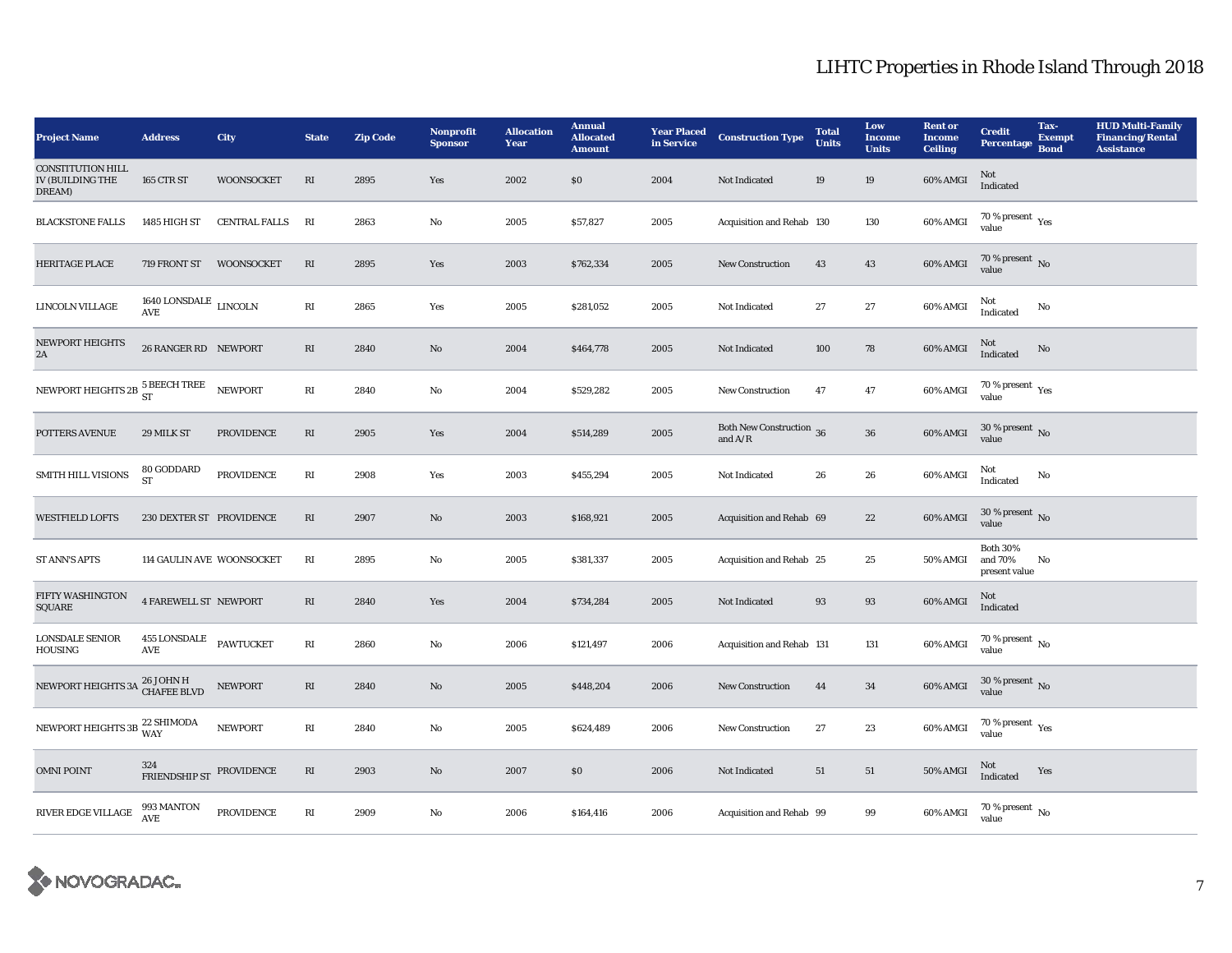| <b>Project Name</b>                                           | <b>Address</b>                              | <b>City</b>          | <b>State</b>           | <b>Zip Code</b> | Nonprofit<br><b>Sponsor</b> | <b>Allocation</b><br>Year | <b>Annual</b><br><b>Allocated</b><br><b>Amount</b> | <b>Year Placed</b><br>in Service | <b>Construction Type</b>              | <b>Total</b><br><b>Units</b> | Low<br><b>Income</b><br><b>Units</b> | <b>Rent or</b><br><b>Income</b><br><b>Ceiling</b> | <b>Credit</b><br>Percentage                 | Tax-<br><b>Exempt</b><br><b>Bond</b> | <b>HUD Multi-Family</b><br><b>Financing/Rental</b><br><b>Assistance</b> |
|---------------------------------------------------------------|---------------------------------------------|----------------------|------------------------|-----------------|-----------------------------|---------------------------|----------------------------------------------------|----------------------------------|---------------------------------------|------------------------------|--------------------------------------|---------------------------------------------------|---------------------------------------------|--------------------------------------|-------------------------------------------------------------------------|
| <b>CONSTITUTION HILL</b><br><b>IV (BUILDING THE</b><br>DREAM) | <b>165 CTR ST</b>                           | <b>WOONSOCKET</b>    | RI                     | 2895            | Yes                         | 2002                      | \$0\$                                              | 2004                             | Not Indicated                         | 19                           | 19                                   | 60% AMGI                                          | Not<br>Indicated                            |                                      |                                                                         |
| <b>BLACKSTONE FALLS</b>                                       | 1485 HIGH ST                                | <b>CENTRAL FALLS</b> | RI                     | 2863            | No                          | 2005                      | \$57,827                                           | 2005                             | Acquisition and Rehab 130             |                              | 130                                  | 60% AMGI                                          | $70\,\%$ present $\,$ Yes value             |                                      |                                                                         |
| <b>HERITAGE PLACE</b>                                         | 719 FRONT ST WOONSOCKET                     |                      | RI                     | 2895            | Yes                         | 2003                      | \$762,334                                          | 2005                             | New Construction                      | 43                           | 43                                   | 60% AMGI                                          | 70 % present $\overline{N_0}$<br>value      |                                      |                                                                         |
| <b>LINCOLN VILLAGE</b>                                        | 1640 LONSDALE $\,$ LINCOLN $\,$<br>AVE      |                      | RI                     | 2865            | Yes                         | 2005                      | \$281,052                                          | 2005                             | Not Indicated                         | 27                           | 27                                   | 60% AMGI                                          | Not<br>Indicated                            | No                                   |                                                                         |
| <b>NEWPORT HEIGHTS</b><br>2A                                  | 26 RANGER RD NEWPORT                        |                      | RI                     | 2840            | $\mathbf{N}\mathbf{o}$      | 2004                      | \$464,778                                          | 2005                             | Not Indicated                         | 100                          | 78                                   | 60% AMGI                                          | Not<br>Indicated                            | $\rm No$                             |                                                                         |
| NEWPORT HEIGHTS 2B $\frac{5}{ST}$                             |                                             | <b>NEWPORT</b>       | RI                     | 2840            | No                          | 2004                      | \$529,282                                          | 2005                             | New Construction                      | 47                           | 47                                   | 60% AMGI                                          | $70\,\%$ present $\,$ Yes value             |                                      |                                                                         |
| POTTERS AVENUE                                                | 29 MILK ST                                  | <b>PROVIDENCE</b>    | RI                     | 2905            | Yes                         | 2004                      | \$514,289                                          | 2005                             | Both New Construction 36<br>and $A/R$ |                              | ${\bf 36}$                           | 60% AMGI                                          | 30 % present $\,$ No $\,$<br>value          |                                      |                                                                         |
| <b>SMITH HILL VISIONS</b>                                     | $80\,\mbox{GODDARD}$ ST                     | <b>PROVIDENCE</b>    | $\mathbf{R}\mathbf{I}$ | 2908            | Yes                         | 2003                      | \$455,294                                          | 2005                             | Not Indicated                         | 26                           | 26                                   | 60% AMGI                                          | Not<br>Indicated                            | No                                   |                                                                         |
| <b>WESTFIELD LOFTS</b>                                        | 230 DEXTER ST PROVIDENCE                    |                      | $\mathbf{R}\mathbf{I}$ | 2907            | No                          | 2003                      | \$168,921                                          | 2005                             | Acquisition and Rehab 69              |                              | 22                                   | 60% AMGI                                          | 30 % present $\,$ No $\,$<br>value          |                                      |                                                                         |
| <b>ST ANN'S APTS</b>                                          | 114 GAULIN AVE WOONSOCKET                   |                      | RI                     | 2895            | No                          | 2005                      | \$381,337                                          | 2005                             | Acquisition and Rehab 25              |                              | 25                                   | 50% AMGI                                          | <b>Both 30%</b><br>and 70%<br>present value | No                                   |                                                                         |
| FIFTY WASHINGTON<br>SQUARE                                    | <b>4 FAREWELL ST NEWPORT</b>                |                      | $\mathbf{R}\mathbf{I}$ | 2840            | Yes                         | 2004                      | \$734,284                                          | 2005                             | Not Indicated                         | 93                           | 93                                   | 60% AMGI                                          | Not<br>Indicated                            |                                      |                                                                         |
| LONSDALE SENIOR<br><b>HOUSING</b>                             | <b>455 LONSDALE</b><br>$\operatorname{AVE}$ | PAWTUCKET            | RI                     | 2860            | No                          | 2006                      | \$121,497                                          | 2006                             | Acquisition and Rehab 131             |                              | 131                                  | 60% AMGI                                          | 70 % present $\,$ No $\,$<br>value          |                                      |                                                                         |
| NEWPORT HEIGHTS 3A <sup>26 JOHN</sup> H<br>CHAFEE BLVD        |                                             | NEWPORT              | RI                     | 2840            | No                          | 2005                      | \$448,204                                          | 2006                             | <b>New Construction</b>               | 44                           | 34                                   | $60\%$ AMGI                                       | $30$ % present $\,$ No value                |                                      |                                                                         |
| NEWPORT HEIGHTS 3B $_{\rm WAY}^{22\rm\,SHIMODA}$              |                                             | <b>NEWPORT</b>       | $\mathbf{R}\mathbf{I}$ | 2840            | No                          | 2005                      | \$624,489                                          | 2006                             | <b>New Construction</b>               | $27\,$                       | 23                                   | 60% AMGI                                          | $70$ % present $\,$ $\rm Yes$<br>value      |                                      |                                                                         |
| <b>OMNI POINT</b>                                             | 324<br>FRIENDSHIP ST PROVIDENCE             |                      | RI                     | 2903            | No                          | 2007                      | S <sub>0</sub>                                     | 2006                             | Not Indicated                         | 51                           | 51                                   | <b>50% AMGI</b>                                   | Not<br>Indicated                            | Yes                                  |                                                                         |
| $\mathop{\rm RIVER}$ EDGE VILLAGE                             | 993 MANTON<br><b>AVE</b>                    | <b>PROVIDENCE</b>    | RI                     | 2909            | No                          | 2006                      | \$164,416                                          | 2006                             | Acquisition and Rehab 99              |                              | 99                                   | 60% AMGI                                          | $70\%$ present $\overline{N_0}$<br>value    |                                      |                                                                         |

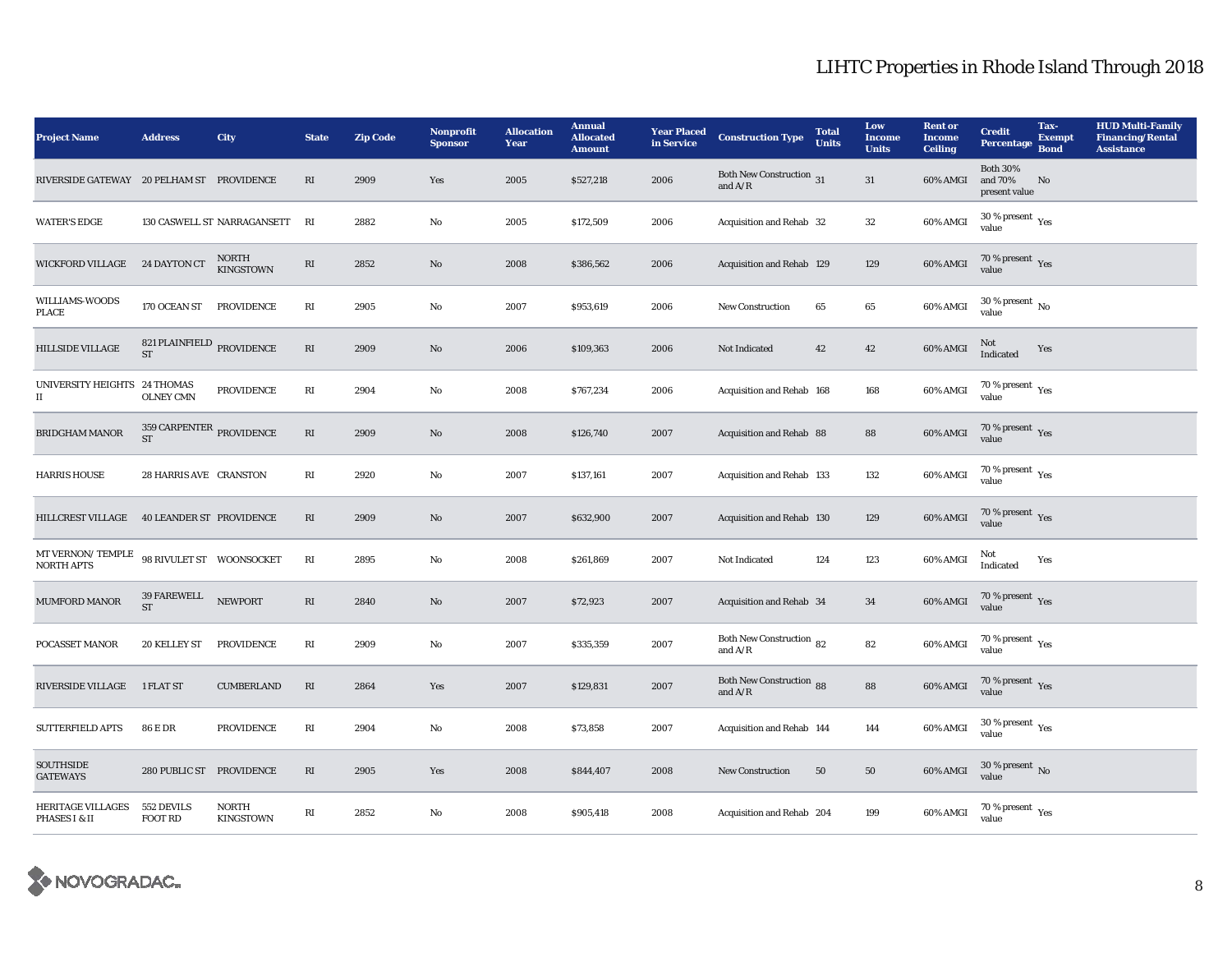| <b>Project Name</b>                       | <b>Address</b>                                   | City                             | <b>State</b>            | <b>Zip Code</b> | Nonprofit<br><b>Sponsor</b> | <b>Allocation</b><br>Year | <b>Annual</b><br><b>Allocated</b><br><b>Amount</b> | <b>Year Placed</b><br>in Service | <b>Construction Type</b>                     | <b>Total</b><br><b>Units</b> | Low<br><b>Income</b><br><b>Units</b> | <b>Rent or</b><br><b>Income</b><br><b>Ceiling</b> | <b>Credit</b><br>Percentage                    | Tax-<br><b>Exempt</b><br><b>Bond</b> | <b>HUD Multi-Family</b><br><b>Financing/Rental</b><br><b>Assistance</b> |
|-------------------------------------------|--------------------------------------------------|----------------------------------|-------------------------|-----------------|-----------------------------|---------------------------|----------------------------------------------------|----------------------------------|----------------------------------------------|------------------------------|--------------------------------------|---------------------------------------------------|------------------------------------------------|--------------------------------------|-------------------------------------------------------------------------|
| RIVERSIDE GATEWAY 20 PELHAM ST PROVIDENCE |                                                  |                                  | RI                      | 2909            | Yes                         | 2005                      | \$527,218                                          | 2006                             | Both New Construction 31<br>and $A/R$        |                              | 31                                   | 60% AMGI                                          | <b>Both 30%</b><br>and 70%<br>present value    | No                                   |                                                                         |
| <b>WATER'S EDGE</b>                       |                                                  | 130 CASWELL ST NARRAGANSETT      | RI                      | 2882            | No                          | 2005                      | \$172,509                                          | 2006                             | Acquisition and Rehab 32                     |                              | $32\,$                               | 60% AMGI                                          | $30$ % present $\,$ $\rm Yes$<br>value         |                                      |                                                                         |
| <b>WICKFORD VILLAGE</b>                   | 24 DAYTON CT                                     | <b>NORTH</b><br><b>KINGSTOWN</b> | $\mathbf{R}\mathbf{I}$  | 2852            | $\mathbf{No}$               | 2008                      | \$386,562                                          | 2006                             | Acquisition and Rehab 129                    |                              | 129                                  | 60% AMGI                                          | $70\,\%$ present $\,$ Yes value                |                                      |                                                                         |
| WILLIAMS-WOODS<br>PLACE                   | 170 OCEAN ST                                     | <b>PROVIDENCE</b>                | RI                      | 2905            | No                          | 2007                      | \$953,619                                          | 2006                             | New Construction                             | 65                           | 65                                   | 60% AMGI                                          | 30 % present $\,$ No $\,$<br>value             |                                      |                                                                         |
| <b>HILLSIDE VILLAGE</b>                   | 821 PLAINFIELD PROVIDENCE<br>ST                  |                                  | $\mathbf{R}\mathbf{I}$  | 2909            | No                          | 2006                      | \$109,363                                          | 2006                             | Not Indicated                                | 42                           | 42                                   | 60% AMGI                                          | Not<br>Indicated                               | Yes                                  |                                                                         |
| UNIVERSITY HEIGHTS 24 THOMAS<br>П         | <b>OLNEY CMN</b>                                 | <b>PROVIDENCE</b>                | $\mathbf{R}\mathbf{I}$  | 2904            | $\mathbf{No}$               | 2008                      | \$767,234                                          | 2006                             | Acquisition and Rehab 168                    |                              | 168                                  | 60% AMGI                                          | $70\,\%$ present $\,$ Yes value                |                                      |                                                                         |
| <b>BRIDGHAM MANOR</b>                     | $359$ CARPENTER $_{\rm PROVIDENCE}$<br><b>ST</b> |                                  | $\mathbf{R}\mathbf{I}$  | 2909            | $\mathbf{N}\mathbf{o}$      | 2008                      | \$126,740                                          | 2007                             | Acquisition and Rehab 88                     |                              | 88                                   | 60% AMGI                                          | $70\,\%$ present $\,$ Yes value                |                                      |                                                                         |
| <b>HARRIS HOUSE</b>                       | 28 HARRIS AVE CRANSTON                           |                                  | RI                      | 2920            | No                          | 2007                      | \$137,161                                          | 2007                             | Acquisition and Rehab 133                    |                              | 132                                  | 60% AMGI                                          | 70 % present Yes<br>value                      |                                      |                                                                         |
| <b>HILLCREST VILLAGE</b>                  | <b>40 LEANDER ST PROVIDENCE</b>                  |                                  | RI                      | 2909            | $\mathbf{N}\mathbf{o}$      | 2007                      | \$632,900                                          | 2007                             | Acquisition and Rehab 130                    |                              | 129                                  | 60% AMGI                                          | 70 % present $\sqrt{\gamma_{\rm PS}}$<br>value |                                      |                                                                         |
| MT VERNON/TEMPLE<br>NORTH APTS            | 98 RIVULET ST WOONSOCKET                         |                                  | RI                      | 2895            | $\mathbf{No}$               | 2008                      | \$261,869                                          | 2007                             | Not Indicated                                | 124                          | 123                                  | 60% AMGI                                          | Not<br>Indicated                               | Yes                                  |                                                                         |
| MUMFORD MANOR                             | 39 FAREWELL<br><b>ST</b>                         | <b>NEWPORT</b>                   | $\mathbf{R}\mathbf{I}$  | 2840            | No                          | 2007                      | \$72,923                                           | 2007                             | Acquisition and Rehab 34                     |                              | 34                                   | 60% AMGI                                          | $70\,\%$ present $\,$ Yes value                |                                      |                                                                         |
| POCASSET MANOR                            | <b>20 KELLEY ST</b>                              | PROVIDENCE                       | RI                      | 2909            | $\mathbf{No}$               | 2007                      | \$335,359                                          | 2007                             | Both New Construction 82<br>and $A/R$        |                              | ${\bf 82}$                           | 60% AMGI                                          | 70 % present $\gamma_{\rm{es}}$<br>value       |                                      |                                                                         |
| <b>RIVERSIDE VILLAGE</b>                  | 1 FLAT ST                                        | <b>CUMBERLAND</b>                | RI                      | 2864            | Yes                         | 2007                      | \$129,831                                          | 2007                             | <b>Both New Construction 88</b><br>and $A/R$ |                              | 88                                   | 60% AMGI                                          | 70 % present $\gamma_{\rm{es}}$<br>value       |                                      |                                                                         |
| <b>SUTTERFIELD APTS</b>                   | <b>86 E DR</b>                                   | <b>PROVIDENCE</b>                | $\mathbb{R}\mathcal{I}$ | 2904            | No                          | 2008                      | \$73,858                                           | 2007                             | Acquisition and Rehab 144                    |                              | 144                                  | 60% AMGI                                          | 30 % present $\rm \gamma_{\rm es}$<br>value    |                                      |                                                                         |
| <b>SOUTHSIDE</b><br><b>GATEWAYS</b>       | 280 PUBLIC ST PROVIDENCE                         |                                  | $\mathbf{R}\mathbf{I}$  | 2905            | Yes                         | 2008                      | \$844,407                                          | 2008                             | <b>New Construction</b>                      | 50                           | $50\,$                               | 60% AMGI                                          | 30 % present $\,$ No $\,$<br>value             |                                      |                                                                         |
| <b>HERITAGE VILLAGES</b><br>PHASES I & II | 552 DEVILS<br><b>FOOT RD</b>                     | <b>NORTH</b><br><b>KINGSTOWN</b> | RI                      | 2852            | No                          | 2008                      | \$905,418                                          | 2008                             | Acquisition and Rehab 204                    |                              | 199                                  | 60% AMGI                                          | 70 % present $\rm\thinspace_{Yes}$<br>value    |                                      |                                                                         |

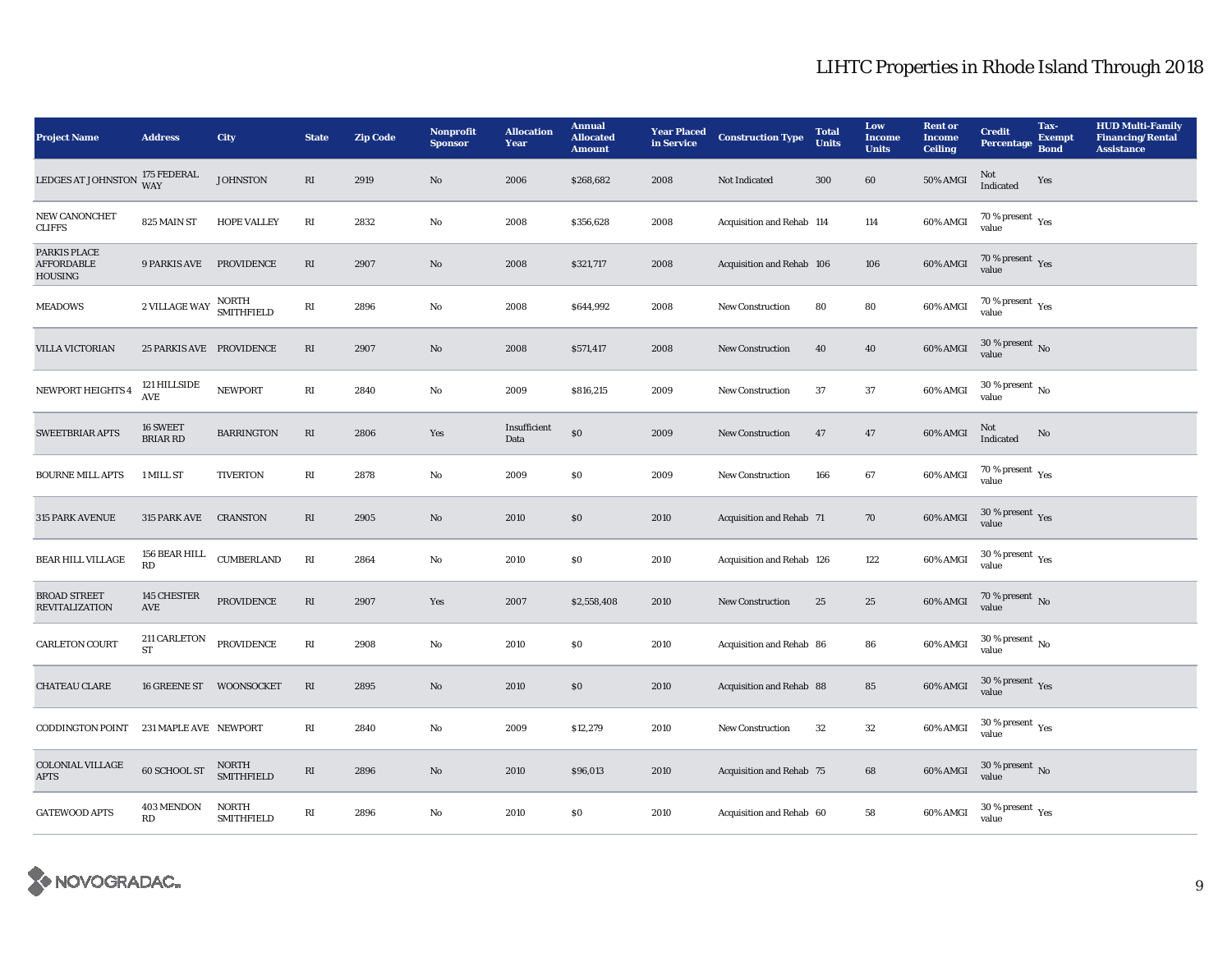| <b>Project Name</b>                          | <b>Address</b>                                | City                              | <b>State</b>             | <b>Zip Code</b> | Nonprofit<br><b>Sponsor</b> | <b>Allocation</b><br>Year | <b>Annual</b><br><b>Allocated</b><br><b>Amount</b> | <b>Year Placed</b><br>in Service | <b>Construction Type</b>  | <b>Total</b><br><b>Units</b> | Low<br><b>Income</b><br><b>Units</b> | <b>Rent or</b><br><b>Income</b><br><b>Ceiling</b> | <b>Credit</b><br>Percentage                 | Tax-<br><b>Exempt</b><br><b>Bond</b> | <b>HUD Multi-Family</b><br><b>Financing/Rental</b><br><b>Assistance</b> |
|----------------------------------------------|-----------------------------------------------|-----------------------------------|--------------------------|-----------------|-----------------------------|---------------------------|----------------------------------------------------|----------------------------------|---------------------------|------------------------------|--------------------------------------|---------------------------------------------------|---------------------------------------------|--------------------------------------|-------------------------------------------------------------------------|
| LEDGES AT JOHNSTON                           | 175 FEDERAL<br>WAY                            | <b>JOHNSTON</b>                   | RI                       | 2919            | No                          | 2006                      | \$268,682                                          | 2008                             | Not Indicated             | 300                          | 60                                   | 50% AMGI                                          | Not<br>Indicated                            | Yes                                  |                                                                         |
| NEW CANONCHET<br><b>CLIFFS</b>               | 825 MAIN ST                                   | <b>HOPE VALLEY</b>                | $\mathbb{R} \mathcal{I}$ | 2832            | $\mathbf{N}\mathbf{o}$      | 2008                      | \$356,628                                          | 2008                             | Acquisition and Rehab 114 |                              | 114                                  | 60% AMGI                                          | $70\,\%$ present $\,$ Yes value             |                                      |                                                                         |
| PARKIS PLACE<br><b>AFFORDABLE</b><br>HOUSING | <b>9 PARKIS AVE</b>                           | PROVIDENCE                        | RI                       | 2907            | $\rm No$                    | 2008                      | \$321,717                                          | 2008                             | Acquisition and Rehab 106 |                              | 106                                  | 60% AMGI                                          | 70 % present $\,$ $\rm Yes$<br>value        |                                      |                                                                         |
| <b>MEADOWS</b>                               | 2 VILLAGE WAY                                 | NORTH<br><b>SMITHFIELD</b>        | $\mathbf{R}\mathbf{I}$   | 2896            | $\mathbf{N}\mathbf{o}$      | 2008                      | \$644,992                                          | 2008                             | <b>New Construction</b>   | 80                           | 80                                   | 60% AMGI                                          | 70 % present $\gamma_{\rm e s}$<br>value    |                                      |                                                                         |
| <b>VILLA VICTORIAN</b>                       | 25 PARKIS AVE PROVIDENCE                      |                                   | RI                       | 2907            | No                          | 2008                      | \$571,417                                          | 2008                             | <b>New Construction</b>   | 40                           | 40                                   | 60% AMGI                                          | 30 % present $\,$ No $\,$<br>value          |                                      |                                                                         |
| <b>NEWPORT HEIGHTS 4</b>                     | 121 HILLSIDE<br>$\operatorname{\mathbf{AVE}}$ | <b>NEWPORT</b>                    | $\mathbb{R}\mathcal{I}$  | 2840            | $\mathbf{N}\mathbf{o}$      | 2009                      | \$816,215                                          | 2009                             | <b>New Construction</b>   | 37                           | 37                                   | 60% AMGI                                          | $30$ % present $\,$ No $\,$<br>value        |                                      |                                                                         |
| <b>SWEETBRIAR APTS</b>                       | 16 SWEET<br><b>BRIAR RD</b>                   | <b>BARRINGTON</b>                 | RI                       | 2806            | Yes                         | Insufficient<br>Data      | \$0                                                | 2009                             | <b>New Construction</b>   | 47                           | 47                                   | 60% AMGI                                          | Not<br>Indicated                            | No                                   |                                                                         |
| <b>BOURNE MILL APTS</b>                      | 1 MILL ST                                     | <b>TIVERTON</b>                   | $\mathbf{R}\mathbf{I}$   | 2878            | No                          | 2009                      | S <sub>0</sub>                                     | 2009                             | <b>New Construction</b>   | 166                          | 67                                   | 60% AMGI                                          | $70\,\%$ present $\,$ $\rm Yes$<br>value    |                                      |                                                                         |
| 315 PARK AVENUE                              | 315 PARK AVE                                  | <b>CRANSTON</b>                   | RI                       | 2905            | $\mathbf{N}\mathbf{o}$      | 2010                      | \$0                                                | 2010                             | Acquisition and Rehab 71  |                              | 70                                   | 60% AMGI                                          | $30$ % present $\,$ $\rm Yes$<br>value      |                                      |                                                                         |
| BEAR HILL VILLAGE                            | 156 BEAR HILL<br>RD                           | <b>CUMBERLAND</b>                 | $\mathbf{R}\mathbf{I}$   | 2864            | $\rm No$                    | 2010                      | $\$0$                                              | 2010                             | Acquisition and Rehab 126 |                              | 122                                  | 60% AMGI                                          | $30$ % present $\,$ $\rm Yes$<br>value      |                                      |                                                                         |
| <b>BROAD STREET</b><br><b>REVITALIZATION</b> | 145 CHESTER<br>AVE                            | <b>PROVIDENCE</b>                 | $\mathbf{R}\mathbf{I}$   | 2907            | Yes                         | 2007                      | \$2,558,408                                        | 2010                             | <b>New Construction</b>   | 25                           | 25                                   | 60% AMGI                                          | 70 % present $\,$ No $\,$<br>value          |                                      |                                                                         |
| CARLETON COURT                               | 211 CARLETON<br>${\rm ST}$                    | PROVIDENCE                        | $\mathbb{R}\mathcal{I}$  | 2908            | No                          | 2010                      | S <sub>0</sub>                                     | 2010                             | Acquisition and Rehab 86  |                              | 86                                   | 60% AMGI                                          | $30$ % present $\,$ No $\,$<br>value        |                                      |                                                                         |
| <b>CHATEAU CLARE</b>                         | 16 GREENE ST                                  | <b>WOONSOCKET</b>                 | $\mathbf{R}\mathbf{I}$   | 2895            | No                          | 2010                      | \$0                                                | 2010                             | Acquisition and Rehab 88  |                              | 85                                   | 60% AMGI                                          | 30 % present $\gamma_{\rm{es}}$<br>value    |                                      |                                                                         |
| CODDINGTON POINT                             | 231 MAPLE AVE NEWPORT                         |                                   | RI                       | 2840            | No                          | 2009                      | \$12,279                                           | 2010                             | <b>New Construction</b>   | 32                           | 32                                   | 60% AMGI                                          | 30 % present $\rm \gamma_{\rm es}$<br>value |                                      |                                                                         |
| <b>COLONIAL VILLAGE</b><br><b>APTS</b>       | 60 SCHOOL ST                                  | NORTH<br>SMITHFIELD               | RI                       | 2896            | No                          | 2010                      | \$96,013                                           | 2010                             | Acquisition and Rehab 75  |                              | 68                                   | 60% AMGI                                          | 30 % present $\,$ No $\,$<br>value          |                                      |                                                                         |
| <b>GATEWOOD APTS</b>                         | 403 MENDON<br>RD                              | <b>NORTH</b><br><b>SMITHFIELD</b> | $\mathbb{R}\mathcal{I}$  | 2896            | $\rm\thinspace No$          | 2010                      | S <sub>0</sub>                                     | 2010                             | Acquisition and Rehab 60  |                              | 58                                   | 60% AMGI                                          | $30\,\%$ present $\,$ $_{\rm Yes}$<br>value |                                      |                                                                         |

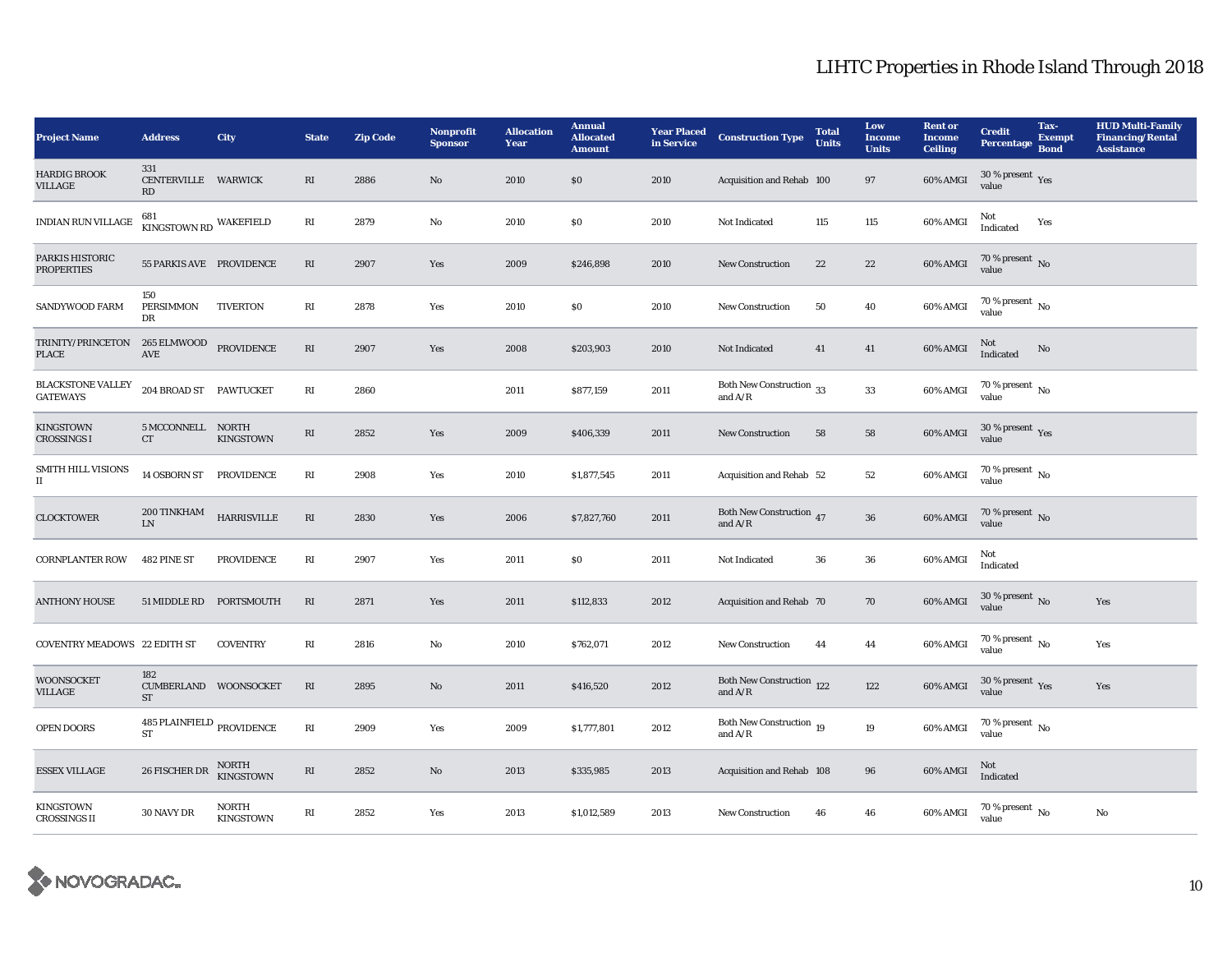| <b>Project Name</b>                         | <b>Address</b>                                  | City                             | <b>State</b>            | <b>Zip Code</b> | Nonprofit<br><b>Sponsor</b> | <b>Allocation</b><br>Year | <b>Annual</b><br><b>Allocated</b><br><b>Amount</b> | <b>Year Placed</b><br>in Service | <b>Construction Type</b>                   | <b>Total</b><br><b>Units</b> | Low<br><b>Income</b><br><b>Units</b> | <b>Rent or</b><br><b>Income</b><br><b>Ceiling</b> | <b>Credit</b><br>Percentage                     | Tax-<br><b>Exempt</b><br><b>Bond</b> | <b>HUD Multi-Family</b><br><b>Financing/Rental</b><br><b>Assistance</b> |
|---------------------------------------------|-------------------------------------------------|----------------------------------|-------------------------|-----------------|-----------------------------|---------------------------|----------------------------------------------------|----------------------------------|--------------------------------------------|------------------------------|--------------------------------------|---------------------------------------------------|-------------------------------------------------|--------------------------------------|-------------------------------------------------------------------------|
| <b>HARDIG BROOK</b><br>VILLAGE              | 331<br>CENTERVILLE WARWICK<br>RD                |                                  | RI                      | 2886            | No                          | 2010                      | \$0                                                | 2010                             | Acquisition and Rehab 100                  |                              | 97                                   | 60% AMGI                                          | 30 % present $\sqrt{\gamma_{\rm{ES}}}$<br>value |                                      |                                                                         |
| INDIAN RUN VILLAGE                          | 681<br>KINGSTOWN RD WAKEFIELD                   |                                  | $\mathbf{R}\mathbf{I}$  | 2879            | No                          | 2010                      | \$0                                                | 2010                             | Not Indicated                              | 115                          | 115                                  | 60% AMGI                                          | Not<br>Indicated                                | Yes                                  |                                                                         |
| PARKIS HISTORIC<br><b>PROPERTIES</b>        | 55 PARKIS AVE PROVIDENCE                        |                                  | RI                      | 2907            | Yes                         | 2009                      | \$246,898                                          | 2010                             | <b>New Construction</b>                    | 22                           | 22                                   | 60% AMGI                                          | $70\,\%$ present $\,$ No value                  |                                      |                                                                         |
| SANDYWOOD FARM                              | 150<br><b>PERSIMMON</b><br>DR                   | <b>TIVERTON</b>                  | RI                      | 2878            | Yes                         | 2010                      | \$0                                                | 2010                             | <b>New Construction</b>                    | 50                           | 40                                   | 60% AMGI                                          | $70\%$ present $\overline{N_0}$<br>value        |                                      |                                                                         |
| TRINITY/PRINCETON<br>PLACE                  | 265 ELMWOOD<br>AVE                              | <b>PROVIDENCE</b>                | RI                      | 2907            | Yes                         | 2008                      | \$203,903                                          | 2010                             | Not Indicated                              | 41                           | 41                                   | 60% AMGI                                          | Not<br>Indicated                                | No                                   |                                                                         |
| <b>BLACKSTONE VALLEY</b><br><b>GATEWAYS</b> | 204 BROAD ST PAWTUCKET                          |                                  | $\mathbf{R}\mathbf{I}$  | 2860            |                             | 2011                      | \$877,159                                          | 2011                             | Both New Construction $\,$ 33<br>and $A/R$ |                              | 33                                   | 60% AMGI                                          | 70 % present $\,$ No $\,$<br>value              |                                      |                                                                         |
| <b>KINGSTOWN</b><br><b>CROSSINGS I</b>      | 5 MCCONNELL NORTH<br>CT                         | KINGSTOWN                        | $\mathbf{R}\mathbf{I}$  | 2852            | Yes                         | 2009                      | \$406,339                                          | 2011                             | <b>New Construction</b>                    | 58                           | 58                                   | 60% AMGI                                          | 30 % present $\,$ $\rm Yes$<br>value            |                                      |                                                                         |
| SMITH HILL VISIONS<br>П                     | 14 OSBORN ST PROVIDENCE                         |                                  | RI                      | 2908            | Yes                         | 2010                      | \$1,877,545                                        | 2011                             | Acquisition and Rehab 52                   |                              | 52                                   | 60% AMGI                                          | $70\%$ present $\overline{N_0}$<br>value        |                                      |                                                                         |
| <b>CLOCKTOWER</b>                           | 200 TINKHAM<br><b>LN</b>                        | <b>HARRISVILLE</b>               | $\mathbf{R}\mathbf{I}$  | 2830            | Yes                         | 2006                      | \$7,827,760                                        | 2011                             | Both New Construction 47<br>and $A/R$      |                              | ${\bf 36}$                           | 60% AMGI                                          | 70 % present $\,$ No $\,$<br>value              |                                      |                                                                         |
| <b>CORNPLANTER ROW</b>                      | 482 PINE ST                                     | <b>PROVIDENCE</b>                | RI                      | 2907            | Yes                         | 2011                      | \$0                                                | 2011                             | Not Indicated                              | 36                           | 36                                   | 60% AMGI                                          | Not<br>Indicated                                |                                      |                                                                         |
| <b>ANTHONY HOUSE</b>                        | 51 MIDDLE RD PORTSMOUTH                         |                                  | RI                      | 2871            | Yes                         | 2011                      | \$112,833                                          | 2012                             | Acquisition and Rehab 70                   |                              | 70                                   | 60% AMGI                                          | 30 % present $\,$ No $\,$<br>value              |                                      | Yes                                                                     |
| <b>COVENTRY MEADOWS 22 EDITH ST</b>         |                                                 | <b>COVENTRY</b>                  | RI                      | 2816            | No                          | 2010                      | \$762,071                                          | 2012                             | <b>New Construction</b>                    | 44                           | 44                                   | 60% AMGI                                          | 70 % present $N_0$<br>value                     |                                      | Yes                                                                     |
| <b>WOONSOCKET</b><br>VILLAGE                | 182<br>CUMBERLAND WOONSOCKET<br><b>ST</b>       |                                  | $\mathbf{R}\mathbf{I}$  | 2895            | $\mathbf{No}$               | 2011                      | \$416,520                                          | 2012                             | Both New Construction 122<br>and $A/R$     |                              | 122                                  | 60% AMGI                                          | 30 % present $\gamma_{\rm{es}}$<br>value        |                                      | Yes                                                                     |
| OPEN DOORS                                  | 485 PLAINFIELD $_{\rm PROVIDENCE}$<br><b>ST</b> |                                  | RI                      | 2909            | Yes                         | 2009                      | \$1,777,801                                        | 2012                             | Both New Construction 19<br>and $A/R$      |                              | 19                                   | 60% AMGI                                          | 70 % present $\,$ No $\,$<br>value              |                                      |                                                                         |
| <b>ESSEX VILLAGE</b>                        | 26 FISCHER DR                                   | NORTH<br>KINGSTOWN               | $\mathbb{R}\mathcal{I}$ | 2852            | No                          | 2013                      | \$335,985                                          | 2013                             | Acquisition and Rehab 108                  |                              | ${\bf 96}$                           | 60% AMGI                                          | Not<br>Indicated                                |                                      |                                                                         |
| <b>KINGSTOWN</b><br><b>CROSSINGS II</b>     | 30 NAVY DR                                      | <b>NORTH</b><br><b>KINGSTOWN</b> | $\mathbf{R}\mathbf{I}$  | 2852            | Yes                         | 2013                      | \$1,012,589                                        | 2013                             | <b>New Construction</b>                    | 46                           | 46                                   | 60% AMGI                                          | 70 % present $\,$ No $\,$<br>value              |                                      | No                                                                      |

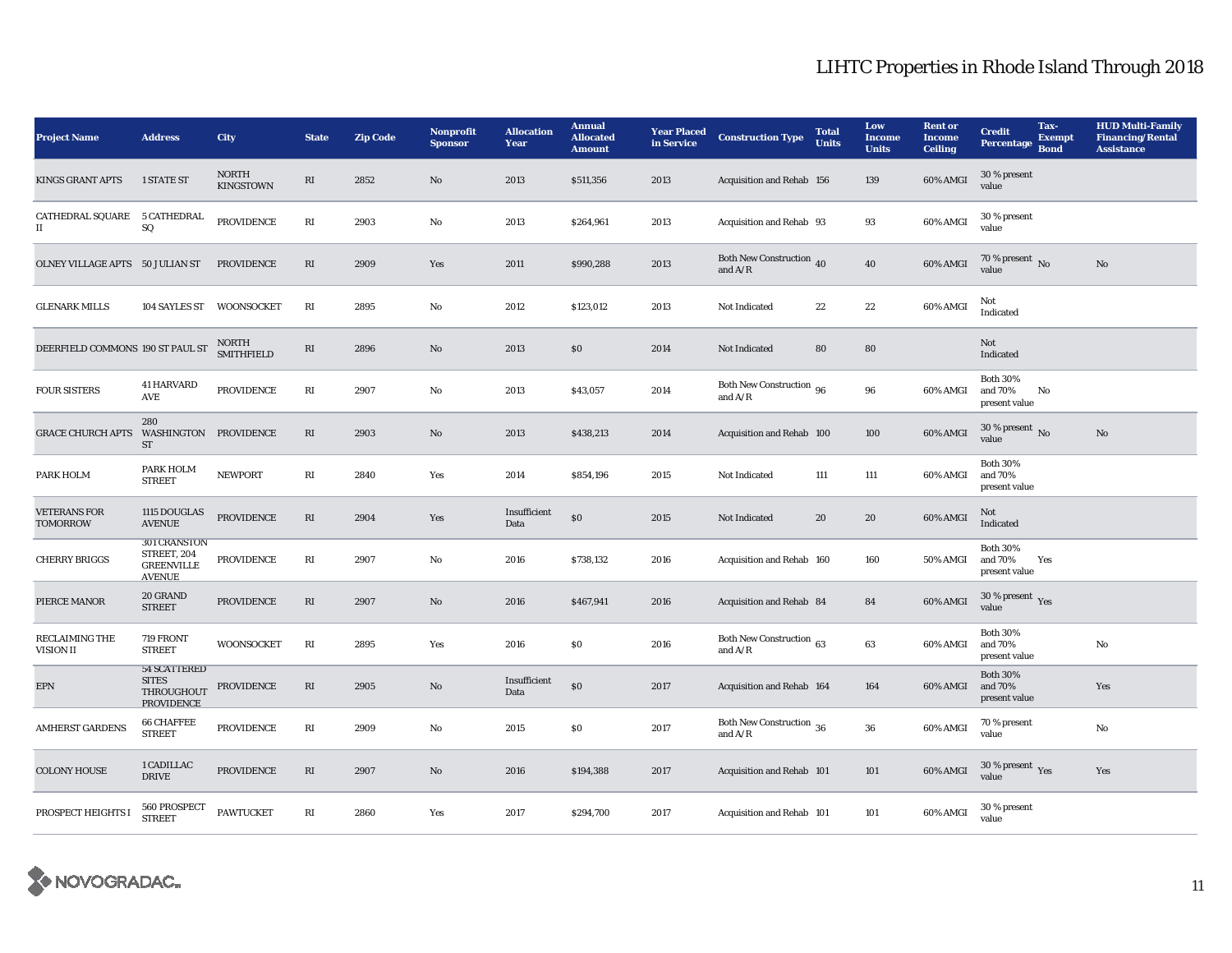| <b>Project Name</b>                                  | <b>Address</b>                                                           | City                             | <b>State</b>           | <b>Zip Code</b> | Nonprofit<br><b>Sponsor</b> | <b>Allocation</b><br>Year | <b>Annual</b><br><b>Allocated</b><br><b>Amount</b> | <b>Year Placed</b><br>in Service | <b>Construction Type</b>                | <b>Total</b><br><b>Units</b> | Low<br><b>Income</b><br><b>Units</b> | <b>Rent or</b><br><b>Income</b><br><b>Ceiling</b> | Tax-<br><b>Credit</b><br>Percentage<br><b>Bond</b> | <b>Exempt</b> | <b>HUD Multi-Family</b><br><b>Financing/Rental</b><br><b>Assistance</b> |
|------------------------------------------------------|--------------------------------------------------------------------------|----------------------------------|------------------------|-----------------|-----------------------------|---------------------------|----------------------------------------------------|----------------------------------|-----------------------------------------|------------------------------|--------------------------------------|---------------------------------------------------|----------------------------------------------------|---------------|-------------------------------------------------------------------------|
| <b>KINGS GRANT APTS</b>                              | <b>1 STATE ST</b>                                                        | <b>NORTH</b><br><b>KINGSTOWN</b> | RI                     | 2852            | No                          | 2013                      | \$511,356                                          | 2013                             | Acquisition and Rehab 156               |                              | 139                                  | 60% AMGI                                          | 30 % present<br>value                              |               |                                                                         |
| CATHEDRAL SQUARE 5 CATHEDRAL<br>$\scriptstyle\rm II$ | SQ                                                                       | <b>PROVIDENCE</b>                | $\mathbf{R}\mathbf{I}$ | 2903            | No                          | 2013                      | \$264,961                                          | 2013                             | Acquisition and Rehab 93                |                              | 93                                   | 60% AMGI                                          | 30 % present<br>value                              |               |                                                                         |
| OLNEY VILLAGE APTS 50 JULIAN ST                      |                                                                          | PROVIDENCE                       | RI                     | 2909            | Yes                         | 2011                      | \$990,288                                          | 2013                             | Both New Construction 40<br>and $A/R$   |                              | 40                                   | 60% AMGI                                          | 70 % present $\,$ No $\,$<br>value                 |               | No                                                                      |
| <b>GLENARK MILLS</b>                                 | 104 SAYLES ST                                                            | WOONSOCKET                       | RI                     | 2895            | No                          | 2012                      | \$123,012                                          | 2013                             | Not Indicated                           | 22                           | 22                                   | 60% AMGI                                          | Not<br>Indicated                                   |               |                                                                         |
| DEERFIELD COMMONS 190 ST PAUL ST                     |                                                                          | NORTH<br>SMITHFIELD              | RI                     | 2896            | No                          | 2013                      | \$0                                                | 2014                             | Not Indicated                           | 80                           | 80                                   |                                                   | Not<br>Indicated                                   |               |                                                                         |
| <b>FOUR SISTERS</b>                                  | <b>41 HARVARD</b><br>AVE                                                 | <b>PROVIDENCE</b>                | RI                     | 2907            | No                          | 2013                      | \$43,057                                           | 2014                             | Both New Construction 96<br>and $A/R$   |                              | 96                                   | 60% AMGI                                          | <b>Both 30%</b><br>and 70%<br>No<br>present value  |               |                                                                         |
| <b>GRACE CHURCH APTS</b>                             | 280<br>WASHINGTON PROVIDENCE<br><b>ST</b>                                |                                  | $\mathbf{R}\mathbf{I}$ | 2903            | $\mathbf{No}$               | 2013                      | \$438,213                                          | 2014                             | Acquisition and Rehab 100               |                              | 100                                  | 60% AMGI                                          | $30$ % present $\,$ No $\,$<br>value               |               | No                                                                      |
| PARK HOLM                                            | PARK HOLM<br><b>STREET</b>                                               | <b>NEWPORT</b>                   | RI                     | 2840            | Yes                         | 2014                      | \$854,196                                          | 2015                             | Not Indicated                           | 111                          | 111                                  | 60% AMGI                                          | <b>Both 30%</b><br>and 70%<br>present value        |               |                                                                         |
| <b>VETERANS FOR</b><br>TOMORROW                      | 1115 DOUGLAS<br><b>AVENUE</b>                                            | <b>PROVIDENCE</b>                | $\mathbf{R}\mathbf{I}$ | 2904            | Yes                         | Insufficient<br>Data      | $\$0$                                              | 2015                             | Not Indicated                           | 20                           | 20                                   | 60% AMGI                                          | Not<br>Indicated                                   |               |                                                                         |
| <b>CHERRY BRIGGS</b>                                 | <b>301 CRANSTON</b><br>STREET, 204<br><b>GREENVILLE</b><br><b>AVENUE</b> | <b>PROVIDENCE</b>                | $\mathbf{R}\mathbf{I}$ | 2907            | No                          | 2016                      | \$738,132                                          | 2016                             | Acquisition and Rehab 160               |                              | 160                                  | <b>50% AMGI</b>                                   | <b>Both 30%</b><br>and 70%<br>Yes<br>present value |               |                                                                         |
| PIERCE MANOR                                         | 20 GRAND<br><b>STREET</b>                                                | <b>PROVIDENCE</b>                | $\mathbf{R}\mathbf{I}$ | 2907            | No                          | 2016                      | \$467,941                                          | 2016                             | Acquisition and Rehab 84                |                              | 84                                   | 60% AMGI                                          | 30 % present $\gamma_{\rm{es}}$<br>value           |               |                                                                         |
| <b>RECLAIMING THE</b><br>VISION II                   | 719 FRONT<br><b>STREET</b>                                               | <b>WOONSOCKET</b>                | RI                     | 2895            | Yes                         | 2016                      | \$0                                                | 2016                             | Both New Construction $63$<br>and $A/R$ |                              | 63                                   | 60% AMGI                                          | <b>Both 30%</b><br>and 70%<br>present value        |               | No                                                                      |
| $\ensuremath{\text{EPN}}$                            | <b>54 SCATTERED</b><br><b>SITES</b><br>THROUGHOUT<br><b>PROVIDENCE</b>   | PROVIDENCE                       | $\mathbf{R}\mathbf{I}$ | 2905            | No                          | Insufficient<br>Data      | \$0                                                | 2017                             | Acquisition and Rehab 164               |                              | 164                                  | 60% AMGI                                          | <b>Both 30%</b><br>and 70%<br>present value        |               | Yes                                                                     |
| <b>AMHERST GARDENS</b>                               | <b>66 CHAFFEE</b><br><b>STREET</b>                                       | <b>PROVIDENCE</b>                | RI                     | 2909            | No                          | 2015                      | <b>SO</b>                                          | 2017                             | Both New Construction 36<br>and $A/R$   |                              | 36                                   | 60% AMGI                                          | 70 % present<br>value                              |               | No                                                                      |
| <b>COLONY HOUSE</b>                                  | 1 CADILLAC<br><b>DRIVE</b>                                               | <b>PROVIDENCE</b>                | RI                     | 2907            | $\mathbf{N}\mathbf{o}$      | 2016                      | \$194,388                                          | 2017                             | Acquisition and Rehab 101               |                              | 101                                  | $60\%$ AMGI                                       | 30 % present $\gamma_{\rm{ES}}$<br>value           |               | Yes                                                                     |
| PROSPECT HEIGHTS I                                   | 560 PROSPECT<br><b>STREET</b>                                            | <b>PAWTUCKET</b>                 | RI                     | 2860            | Yes                         | 2017                      | \$294,700                                          | 2017                             | Acquisition and Rehab 101               |                              | 101                                  | 60% AMGI                                          | 30 % present<br>value                              |               |                                                                         |